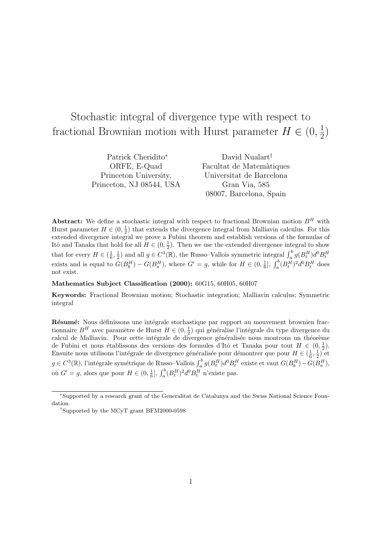# Stochastic integral of divergence type with respect to fractional Brownian motion with Hurst parameter  $H \in (0, \frac{1}{2})$  $\frac{1}{2})$

| Patrick Cheridito*       | David Nualart <sup>†</sup> |
|--------------------------|----------------------------|
| ORFE, E-Quad             | Facultat de Matemàtiques   |
| Princeton University,    | Universitat de Barcelona   |
| Princeton, NJ 08544, USA | Gran Via, 585              |
|                          | 08007, Barcelona, Spain    |

Abstract: We define a stochastic integral with respect to fractional Brownian motion  $B<sup>H</sup>$  with Hurst parameter  $H \in (0, \frac{1}{2})$  that extends the divergence integral from Malliavin calculus. For this extended divergence integral we prove a Fubini theorem and establish versions of the formulas of Itô and Tanaka that hold for all  $H \in (0, \frac{1}{2})$ . Then we use the extended divergence integral to show that for every  $H \in (\frac{1}{6}, \frac{1}{2})$  and all  $g \in C^3(\mathbb{R})$ , the Russo–Vallois symmetric integral  $\int_a^b g(B_t^H) d^0 B_t^H$ exists and is equal to  $G(B_b^H) - G(B_a^H)$ , where  $G' = g$ , while for  $H \in (0, \frac{1}{6}]$ ,  $\int_a^b (B_t^H)^2 d^0 B_t^H$  does not exist.

#### Mathematics Subject Classification (2000): 60G15, 60H05, 60H07

Keywords: Fractional Brownian motion; Stochastic integration; Malliavin calculus; Symmetric integral

Résumé: Nous définissons une intégrale stochastique par rapport au mouvement brownien fractionnaire $B^H$ avec paramètre de Hurst $H\in (0,\frac{1}{2})$ qui généralise l'intégrale du type divergence du calcul de Malliavin. Pour cette intégrale de divergence généralisée nous montrons un théorème de Fubini et nous établissons des versions des formules d'Itô et Tanaka pour tout  $H \in (0, \frac{1}{2})$ . Ensuite nous utilisons l'intégrale de divergence généralisée pour démontrer que pour  $H \in (\frac{1}{6}, \frac{1}{2})$  et  $g \in C^3(\mathbb{R})$ , l'intégrale symétrique de Russo–Vallois  $\int_a^b g(B_t^H) d^0 B_t^H$  existe et vaut  $G(B_b^H) - G(B_a^H)$ , où  $G' = g$ , alors que pour  $H \in (0, \frac{1}{6}], \int_a^b (B_t^H)^2 d^0 B_t^H$  n'existe pas.

<sup>∗</sup>Supported by a research grant of the Generalitat de Catalunya and the Swiss National Science Foundation.

<sup>†</sup>Supported by the MCyT grant BFM2000-0598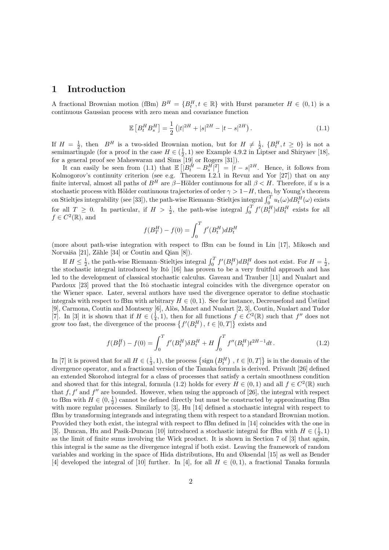# 1 Introduction

A fractional Brownian motion (fBm)  $B^H = \{B_t^H, t \in \mathbb{R}\}\$  with Hurst parameter  $H \in (0,1)$  is a continuous Gaussian process with zero mean and covariance function

$$
\mathbb{E}\left[B_t^H B_s^H\right] = \frac{1}{2} \left(|t|^{2H} + |s|^{2H} - |t - s|^{2H}\right). \tag{1.1}
$$

If  $H = \frac{1}{2}$ , then  $B^H$  is a two-sided Brownian motion, but for  $H \neq \frac{1}{2}$ ,  $\{B_t^H, t \geq 0\}$  is not a semimartingale (for a proof in the case  $H \in (\frac{1}{2}, 1)$  see Example 4.9.2 in Liptser and Shiryaev [18], for a general proof see Maheswaran and Sims [19] or Rogers [31]).

It can easily be seen from  $(1.1)$  that  $E$  $\left[|B_t^H - B_s^H|^2\right]$  $= |t - s|^{2H}$ . Hence, it follows from Kolmogorov's continuity criterion (see e.g. Theorem I.2.1 in Revuz and Yor [27]) that on any finite interval, almost all paths of  $B^H$  are  $\beta$ -Hölder continuous for all  $\beta < H$ . Therefore, if u is a stochastic process with Hölder continuous trajectories of order  $\gamma > 1-H$ , then, by Young's theorem stochastic process with Holder continuous trajectories of order  $\gamma > 1 - H$ , then, by Toung's theorem<br>on Stieltjes integrability (see [33]), the path-wise Riemann–Stieltjes integral  $\int_0^T u_t(\omega) dB_t^H(\omega)$  exists for all  $T \ge 0$ . In particular, if  $H > \frac{1}{2}$ , the path-wise integral  $\int_0^T f'(B_t^H) dB_t^H$  exists for all  $f \in C^2(\mathbb{R})$ , and

$$
f(B_T^H) - f(0) = \int_0^T f'(B_t^H) dB_t^H
$$

(more about path-wise integration with respect to fBm can be found in Lin [17], Mikosch and Norvaiša [21], Zähle [34] or Coutin and Qian [8]).

If  $H \leq \frac{1}{2}$ , the path-wise Riemann–Stieltjes integral  $\int_0^T f'(B_t^H) dB_t^H$  does not exist. For  $H = \frac{1}{2}$ , the stochastic integral introduced by Itô [16] has proven to be a very fruitful approach and has led to the development of classical stochastic calculus. Gaveau and Trauber [11] and Nualart and Pardoux [23] proved that the Itô stochastic integral coincides with the divergence operator on the Wiener space. Later, several authors have used the divergence operator to define stochastic integrals with respect to fBm with arbitrary  $H \in (0, 1)$ . See for instance, Decreusefond and Ustünel [9], Carmona, Coutin and Montseny [6], Alòs, Mazet and Nualart [2, 3], Coutin, Nualart and Tudor [7]. In [3] it is shown that if  $H \in (\frac{1}{4}, 1)$ , then for all functions  $f \in C^2(\mathbb{R})$  such that  $f''$  does not grow too fast, the divergence of the process  $\{f'(B_t^H), t \in [0,T]\}$  exists and  $\frac{J}{\gamma}$ exists and

$$
f(B_T^H) - f(0) = \int_0^T f'(B_t^H) \delta B_t^H + H \int_0^T f''(B_t^H) t^{2H-1} dt.
$$
\n(1.2)

In [7] it is proved that for all  $H \in (\frac{1}{3}, 1)$ , the process  $\left\{ \text{sign}\left(B_t^H\right) \right\}$ ,  $t \in [0, T]$ is in the domain of the divergence operator, and a fractional version of the Tanaka formula is derived. Privault [26] defined an extended Skorohod integral for a class of processes that satisfy a certain smoothness condition and showed that for this integral, formula (1.2) holds for every  $H \in (0,1)$  and all  $f \in C^2(\mathbb{R})$  such that  $f, f'$  and  $f''$  are bounded. However, when using the approach of [26], the integral with respect to fBm with  $H \in (0, \frac{1}{2})$  cannot be defined directly but must be constructed by approximating fBm with more regular processes. Similarly to [3], Hu [14] defined a stochastic integral with respect to fBm by transforming integrands and integrating them with respect to a standard Brownian motion. Provided they both exist, the integral with respect to fBm defined in [14] coincides with the one in [3]. Duncan, Hu and Pasik-Duncan [10] introduced a stochastic integral for fBm with  $H \in (\frac{1}{2}, 1)$ as the limit of finite sums involving the Wick product. It is shown in Section 7 of [3] that again, this integral is the same as the divergence integral if both exist. Leaving the framework of random variables and working in the space of Hida distributions, Hu and Øksendal [15] as well as Bender [4] developed the integral of [10] further. In [4], for all  $H \in (0,1)$ , a fractional Tanaka formula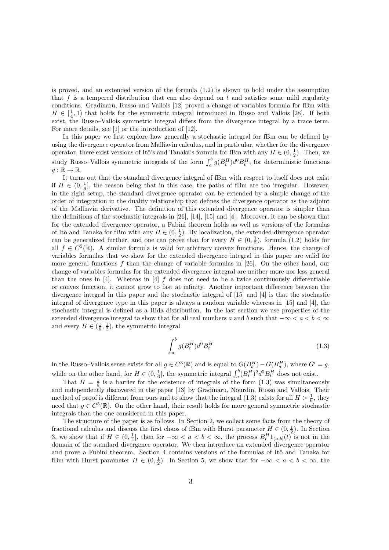is proved, and an extended version of the formula (1.2) is shown to hold under the assumption that  $f$  is a tempered distribution that can also depend on  $t$  and satisfies some mild regularity conditions. Gradinaru, Russo and Vallois [12] proved a change of variables formula for fBm with  $H \in \left[\frac{1}{4}, 1\right)$  that holds for the symmetric integral introduced in Russo and Vallois [28]. If both exist, the Russo–Vallois symmetric integral differs from the divergence integral by a trace term. For more details, see [1] or the introduction of [12].

In this paper we first explore how generally a stochastic integral for fBm can be defined by using the divergence operator from Malliavin calculus, and in particular, whether for the divergence operator, there exist versions of Itô's and Tanaka's formula for fBm with any  $H \in (0, \frac{1}{2})$ . Then, we study Russo–Vallois symmetric integrals of the form  $\int_a^b g(B_t^H) d^0 B_t^H$ , for deterministic functions  $q : \mathbb{R} \to \mathbb{R}$ .

It turns out that the standard divergence integral of fBm with respect to itself does not exist if  $H \in (0, \frac{1}{4}]$ , the reason being that in this case, the paths of fBm are too irregular. However, in the right setup, the standard divergence operator can be extended by a simple change of the order of integration in the duality relationship that defines the divergence operator as the adjoint of the Malliavin derivative. The definition of this extended divergence operator is simpler than the definitions of the stochastic integrals in [26], [14], [15] and [4]. Moreover, it can be shown that for the extended divergence operator, a Fubini theorem holds as well as versions of the formulas of Itô and Tanaka for fBm with any  $H \in (0, \frac{1}{2})$ . By localization, the extended divergence operator can be generalized further, and one can prove that for every  $H \in (0, \frac{1}{2})$ , formula (1.2) holds for all  $f \in C^2(\mathbb{R})$ . A similar formula is valid for arbitrary convex functions. Hence, the change of variables formulas that we show for the extended divergence integral in this paper are valid for more general functions  $f$  than the change of variable formulas in [26]. On the other hand, our change of variables formulas for the extended divergence integral are neither more nor less general than the ones in [4]. Whereas in [4]  $f$  does not need to be a twice continuously differentiable or convex function, it cannot grow to fast at infinity. Another important difference between the divergence integral in this paper and the stochastic integral of [15] and [4] is that the stochastic integral of divergence type in this paper is always a random variable whereas in [15] and [4], the stochastic integral is defined as a Hida distribution. In the last section we use properties of the extended divergence integral to show that for all real numbers a and b such that  $-\infty < a < b < \infty$ and every  $H \in (\frac{1}{6}, \frac{1}{2})$ , the symmetric integral

$$
\int_{a}^{b} g(B_t^H) d^0 B_t^H \tag{1.3}
$$

in the Russo–Vallois sense exists for all  $g \in C^3(\mathbb{R})$  and is equal to  $G(B_b^H) - G(B_a^H)$ , where  $G' = g$ , while on the other hand, for  $H \in (0, \frac{1}{6}]$ , the symmetric integral  $\int_a^b (B_t^H)^2 d^0 B_t^H$  does not exist.

That  $H = \frac{1}{6}$  is a barrier for the existence of integrals of the form (1.3) was simultaneously and independently discovered in the paper [13] by Gradinaru, Nourdin, Russo and Vallois. Their method of proof is different from ours and to show that the integral (1.3) exists for all  $H > \frac{1}{6}$ , they need that  $g \in C^5(\mathbb{R})$ . On the other hand, their result holds for more general symmetric stochastic integrals than the one considered in this paper.

The structure of the paper is as follows. In Section 2, we collect some facts from the theory of fractional calculus and discuss the first chaos of fBm with Hurst parameter  $H \in (0, \frac{1}{2})$ . In Section 3, we show that if  $H \in (0, \frac{1}{4}]$ , then for  $-\infty < a < b < \infty$ , the process  $B_t^H 1_{(a,b]}(t)$  is not in the domain of the standard divergence operator. We then introduce an extended divergence operator and prove a Fubini theorem. Section 4 contains versions of the formulas of Itô and Tanaka for fBm with Hurst parameter  $H \in (0, \frac{1}{2})$ . In Section 5, we show that for  $-\infty < a < b < \infty$ , the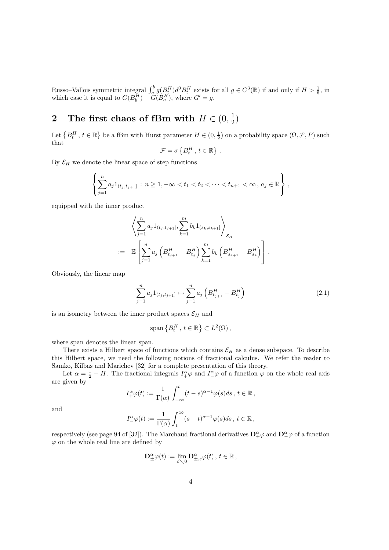Russo–Vallois symmetric integral  $\int_a^b g(B_t^H) d^0 B_t^H$  exists for all  $g \in C^3(\mathbb{R})$  if and only if  $H > \frac{1}{6}$ , in which case it is equal to  $G(B_b^H) - \tilde{G}(B_a^H)$ , where  $G' = g$ .

#### 2 The first chaos of fBm with  $H \in (0, \frac{1}{2})$  $\frac{1}{2})$

Let  $\left\{ B_{t}^{H}\text{, }t\in\mathbb{R}\right.$ ª be a fBm with Hurst parameter  $H \in (0, \frac{1}{2})$  on a probability space  $(\Omega, \mathcal{F}, P)$  such that © ª

$$
\mathcal{F} = \sigma\left\{B_t^H, t \in \mathbb{R}\right\}.
$$

By  $\mathcal{E}_H$  we denote the linear space of step functions

$$
\left\{\sum_{j=1}^n a_j 1_{(t_j,t_{j+1}]} : n \geq 1, -\infty < t_1 < t_2 < \cdots < t_{n+1} < \infty, a_j \in \mathbb{R}\right\},\,
$$

equipped with the inner product

$$
\left\langle \sum_{j=1}^{n} a_j 1_{(t_j,t_{j+1}]}, \sum_{k=1}^{m} b_k 1_{(s_k,s_{k+1}]}\right\rangle_{\mathcal{E}_H}
$$
  
:= 
$$
\mathbb{E}\left[\sum_{j=1}^{n} a_j \left(B_{t_{j+1}}^H - B_{t_j}^H\right) \sum_{k=1}^{m} b_k \left(B_{s_{k+1}}^H - B_{s_k}^H\right)\right].
$$

Obviously, the linear map

$$
\sum_{j=1}^{n} a_j 1_{(t_j, t_{j+1}]} \mapsto \sum_{j=1}^{n} a_j \left( B_{t_{j+1}}^H - B_{t_j}^H \right) \tag{2.1}
$$

is an isometry between the inner product spaces  $\mathcal{E}_H$  and

$$
\text{span}\left\{B_t^H, t \in \mathbb{R}\right\} \subset L^2(\Omega),
$$

where span denotes the linear span.

There exists a Hilbert space of functions which contains  $\mathcal{E}_H$  as a dense subspace. To describe this Hilbert space, we need the following notions of fractional calculus. We refer the reader to Samko, Kilbas and Marichev [32] for a complete presentation of this theory.

Let  $\alpha = \frac{1}{2} - H$ . The fractional integrals  $I^{\alpha}_{+} \varphi$  and  $I^{\alpha}_{-} \varphi$  of a function  $\varphi$  on the whole real axis are given by  $rt$ 

$$
I_+^{\alpha}\varphi(t) := \frac{1}{\Gamma(\alpha)} \int_{-\infty}^t (t-s)^{\alpha-1} \varphi(s) ds, \ t \in \mathbb{R},
$$

$$
I_{-}^{\alpha}\varphi(t):=\frac{1}{\Gamma(\alpha)}\int_{t}^{\infty}(s-t)^{\alpha-1}\varphi(s)ds\,,\,t\in\mathbb{R}\,,
$$

respectively (see page 94 of [32]). The Marchaud fractional derivatives  $\mathbf{D}^{\alpha}_{+}\varphi$  and  $\mathbf{D}^{\alpha}_{-}\varphi$  of a function  $\varphi$  on the whole real line are defined by

$$
\mathbf{D}^{\alpha}_{\pm}\varphi(t):=\lim_{\varepsilon\searrow 0}\mathbf{D}^{\alpha}_{\pm,\varepsilon}\varphi(t),\,t\in\mathbb{R},
$$

and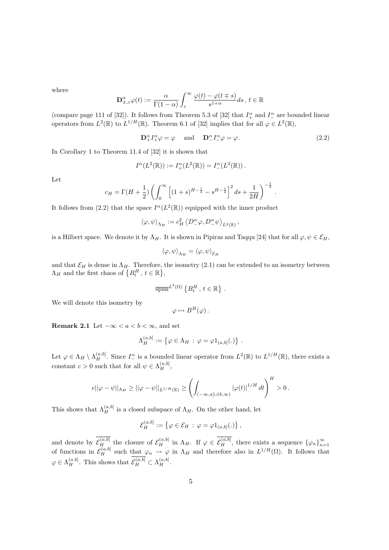where

$$
\mathbf{D}^{\alpha}_{\pm,\varepsilon}\varphi(t):=\frac{\alpha}{\Gamma(1-\alpha)}\int_{\varepsilon}^{\infty}\frac{\varphi(t)-\varphi(t\mp s)}{s^{1+\alpha}}ds\,,\,t\in\mathbb{R}
$$

(compare page 111 of [32]). It follows from Theorem 5.3 of [32] that  $I_+^{\alpha}$  and  $I_-^{\alpha}$  are bounded linear operators from  $L^2(\mathbb{R})$  to  $L^{1/H}(\mathbb{R})$ . Theorem 6.1 of [32] implies that for all  $\varphi \in L^2(\mathbb{R})$ ,

 $\mathbf{D}_{+}^{\alpha}I_{+}^{\alpha}\varphi = \varphi \quad \text{and} \quad \mathbf{D}_{-}^{\alpha}I_{-}^{\alpha}\varphi = \varphi.$  (2.2)

In Corollary 1 to Theorem 11.4 of [32] it is shown that

$$
I^{\alpha}(L^2(\mathbb{R})) := I^{\alpha}_+(L^2(\mathbb{R})) = I^{\alpha}_-(L^2(\mathbb{R})).
$$

Let

$$
c_H = \Gamma(H + \frac{1}{2}) \left( \int_0^\infty \left[ (1+s)^{H - \frac{1}{2}} - s^{H - \frac{1}{2}} \right]^2 ds + \frac{1}{2H} \right)^{-\frac{1}{2}}.
$$

It follows from (2.2) that the space  $I^{\alpha}(L^2(\mathbb{R}))$  equipped with the inner product

$$
\left\langle \varphi, \psi \right\rangle_{\Lambda_H} := c_H^2 \left\langle D^\alpha_- \varphi, D^\alpha_- \psi \right\rangle_{L^2(\mathbb{R})},
$$

is a Hilbert space. We denote it by  $\Lambda_H$ . It is shown in Pipiras and Taqqu [24] that for all  $\varphi, \psi \in \mathcal{E}_H$ ,

$$
\langle \varphi, \psi \rangle_{\Lambda_H} = \langle \varphi, \psi \rangle_{\mathcal{E}_H}
$$

and that  $\mathcal{E}_H$  is dense in  $\Lambda_H$ . Therefore, the isometry (2.1) can be extended to an isometry between and that  $\mathcal{L}_H$  is dense in  $\Lambda_H$ . Therefore,  $\Lambda_H$  and the first chaos of  $\{B_t^H, t \in \mathbb{R}\},$ 

$$
\overline{\text{span}}^{L^2(\Omega)}\left\{B_t^H, t \in \mathbb{R}\right\}.
$$

We will denote this isometry by

$$
\varphi \mapsto B^H(\varphi).
$$

Remark 2.1 Let  $-\infty < a < b < \infty$ , and set

$$
\Lambda_H^{(a,b]} := \{ \varphi \in \Lambda_H \, : \, \varphi = \varphi 1_{(a,b]}(.) \} .
$$

Let  $\varphi \in \Lambda_H \setminus \Lambda_H^{(a,b]}$ . Since  $I_-^{\alpha}$  is a bounded linear operator from  $L^2(\mathbb{R})$  to  $L^{1/H}(\mathbb{R})$ , there exists a constant  $c > 0$  such that for all  $\psi \in \Lambda_H^{(a,b]},$ 

$$
c||\varphi - \psi||_{\Lambda_H} \ge ||\varphi - \psi||_{L^{1/H}(\mathbb{R})} \ge \left(\int_{(-\infty, a] \cup (b, \infty)} |\varphi(t)|^{1/H} dt\right)^H > 0.
$$

This shows that  $\Lambda_H^{(a,b]}$  is a closed subspace of  $\Lambda_H$ . On the other hand, let

$$
\mathcal{E}_H^{(a,b]} := \left\{ \varphi \in \mathcal{E}_H \, : \, \varphi = \varphi 1_{(a,b]}(.) \right\},\,
$$

and denote by  $\mathcal{E}_H^{(a,b]}$  the closure of  $\mathcal{E}_H^{(a,b]}$  in  $\Lambda_H$ . If  $\varphi \in \mathcal{E}_H^{(a,b]}$ , there exists a sequence  $\{\varphi_n\}_{n=1}^{\infty}$ of functions in  $\mathcal{E}_H^{(a,b]}$  such that  $\varphi_n \to \varphi$  in  $\Lambda_H$  and therefore also in  $L^{1/H}(\Omega)$ . It follows that  $\varphi \in \Lambda_H^{(a,b]}$ . This shows that  $\mathcal{E}_H^{(a,b]} \subset \Lambda_H^{(a,b]}$ .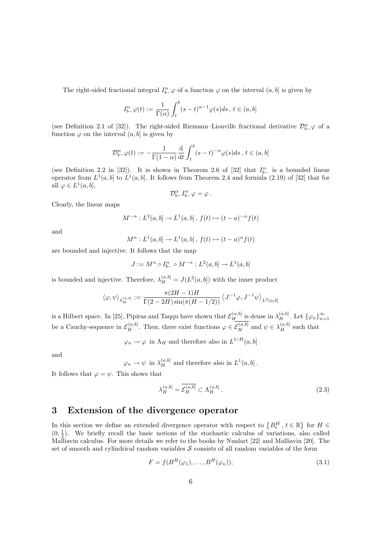The right-sided fractional integral  $I_{b-}^{\alpha} \varphi$  of a function  $\varphi$  on the interval  $(a, b]$  is given by

$$
I^\alpha_{b-}\varphi(t):=\frac{1}{\Gamma(\alpha)}\int_t^b(s-t)^{\alpha-1}\varphi(s)ds\,,\,t\in(a,b]
$$

(see Definition 2.1 of [32]). The right-sided Riemann–Liouville fractional derivative  $\mathcal{D}_{b-}^{\alpha}\varphi$  of a function  $\varphi$  on the interval  $(a, b]$  is given by

$$
\mathcal{D}^{\alpha}_{b-}\varphi(t):=-\frac{1}{\Gamma(1-\alpha)}\frac{\mathrm{d}}{\mathrm{d}t}\int_{t}^{b}(s-t)^{-\alpha}\varphi(s)ds\,,\,t\in(a,b]
$$

(see Definition 2.2 in [32]). It is shown in Theorem 2.6 of [32] that  $I_{b-}^{\alpha}$  is a bounded linear operator from  $L^1(a, b]$  to  $L^1(a, b]$ . It follows from Theorem 2.4 and formula (2.19) of [32] that for all  $\varphi \in L^1(a, b],$ 

$$
\mathcal{D}_{b-}^{\alpha}I_{b-}^{\alpha}\varphi=\varphi\,.
$$

Clearly, the linear maps

$$
M^{-\alpha}:L^2(a,b]\to L^1(a,b]\,,\,f(t)\mapsto (t-a)^{-\alpha}f(t)
$$

and

$$
M^{\alpha}: L^1(a,b] \to L^1(a,b], f(t) \mapsto (t-a)^{\alpha} f(t)
$$

are bounded and injective. It follows that the map

$$
J:=M^{\alpha}\circ I_{b-}^{\alpha}\circ M^{-\alpha}:L^{2}(a,b]\rightarrow L^{1}(a,b]
$$

is bounded and injective. Therefore,  $\lambda_H^{(a,b]} = J(L^2(a,b])$  with the inner product

$$
\left\langle \varphi, \psi \right\rangle_{\lambda^{(a,b)}_H} := \frac{\pi(2H-1)H}{\Gamma(2-2H)\sin(\pi(H-1/2))} \left\langle J^{-1}\varphi, J^{-1}\psi \right\rangle_{L^2(a,b]}
$$

is a Hilbert space. In [25], Pipiras and Taqqu have shown that  $\mathcal{E}_H^{(a,b]}$  is dense in  $\lambda_H^{(a,b]}$ . Let  $\{\varphi_n\}_{n=1}^{\infty}$ be a Cauchy-sequence in  $\mathcal{E}_H^{(a,b]}$ . Then, there exist functions  $\varphi \in \mathcal{E}_H^{(a,b]}$  and  $\psi \in \lambda_H^{(a,b]}$  such that

 $\varphi_n \to \varphi$  in  $\Lambda_H$  and therefore also in  $L^{1/H}(a, b]$ 

and

 $\varphi_n \to \psi$  in  $\lambda^{(a,b)}_H$  and therefore also in  $L^1(a,b]$ .

It follows that  $\varphi = \psi$ . This shows that

$$
\lambda_H^{(a,b]} = \overline{\mathcal{E}_H^{(a,b]}} \subset \Lambda_H^{(a,b]}.
$$
\n(2.3)

## 3 Extension of the divergence operator

In this section we define an extended divergence operator with respect to  ${B_t^H, t \in \mathbb{R}}$ ª for  $H \in$  $(0, \frac{1}{2})$ . We briefly recall the basic notions of the stochastic calculus of variations, also called Malliavin calculus. For more details we refer to the books by Nualart [22] and Malliavin [20]. The set of smooth and cylindrical random variables  $S$  consists of all random variables of the form

$$
F = f(B^H(\varphi_1), \dots, B^H(\varphi_n)), \tag{3.1}
$$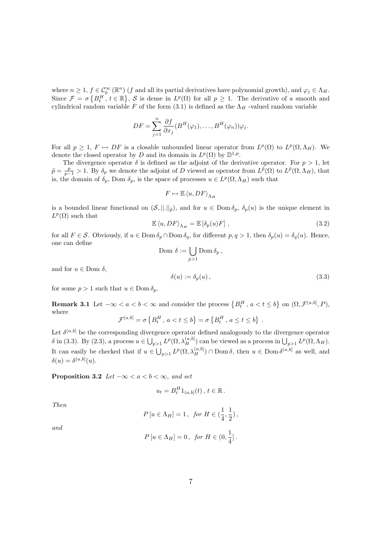where  $n \geq 1$ ,  $f \in \mathcal{C}_p^{\infty}(\mathbb{R}^n)$  (f and all its partial derivatives have polynomial growth), and  $\varphi_j \in \Lambda_H$ . Since  $\mathcal{F} = \sigma$  $\{B_t^H, t \in \mathbb{R}\}$ ª , S is dense in  $L^p(\Omega)$  for all  $p \geq 1$ . The derivative of a smooth and cylindrical random variable F of the form  $(3.1)$  is defined as the  $\Lambda_H$ -valued random variable

$$
DF = \sum_{j=1}^{n} \frac{\partial f}{\partial x_j} (B^H(\varphi_1), \dots, B^H(\varphi_n)) \varphi_j.
$$

For all  $p \geq 1$ ,  $F \mapsto DF$  is a closable unbounded linear operator from  $L^p(\Omega)$  to  $L^p(\Omega, \Lambda_H)$ . We denote the closed operator by D and its domain in  $L^p(\Omega)$  by  $\mathbb{D}^{1,p}$ .

The divergence operator  $\delta$  is defined as the adjoint of the derivative operator. For  $p > 1$ , let  $\tilde{p} = \frac{p}{p-1} > 1$ . By  $\delta_p$  we denote the adjoint of D viewed as operator from  $L^{\tilde{p}}(\Omega)$  to  $L^{\tilde{p}}(\Omega, \Lambda_H)$ , that is, the domain of  $\delta_p$ , Dom  $\delta_p$ , is the space of processes  $u \in L^p(\Omega, \Lambda_H)$  such that

$$
F \mapsto \mathbb{E} \left\langle u, DF \right\rangle_{\Lambda_H}
$$

is a bounded linear functional on  $(S, ||.||_{\tilde{p}})$ , and for  $u \in \text{Dom } \delta_p$ ,  $\delta_p(u)$  is the unique element in  $L^p(\Omega)$  such that

$$
\mathbb{E}\left\langle u, DF\right\rangle_{\Lambda_H} = \mathbb{E}\left[\delta_p(u)F\right],\tag{3.2}
$$

for all  $F \in \mathcal{S}$ . Obviously, if  $u \in \text{Dom } \delta_p \cap \text{Dom } \delta_q$ , for different  $p, q > 1$ , then  $\delta_p(u) = \delta_q(u)$ . Hence, one can define

$$
\text{Dom }\delta := \bigcup_{p>1} \text{Dom }\delta_p \,,
$$

and for  $u \in$  Dom  $\delta$ ,

$$
\delta(u) := \delta_p(u) \,, \tag{3.3}
$$

for some  $p > 1$  such that  $u \in \text{Dom } \delta_p$ .

**Remark 3.1** Let  $-\infty < a < b < \infty$  and consider the process  ${B_t^H, a < t \le b}$ ª on  $(\Omega, \mathcal{F}^{(a,b]}, P),$ where © ª © ª

$$
\mathcal{F}^{(a,b]} = \sigma \left\{ B_t^H, \, a < t \leq b \right\} = \sigma \left\{ B_t^H, \, a \leq t \leq b \right\}.
$$

Let  $\delta^{(a,b]}$  be the corresponding divergence operator defined analogously to the divergence operator  $\delta$  in (3.3). By (2.3), a process  $u \in \bigcup_{p>1} L^p(\Omega, \lambda_H^{(a,b)})$  can be viewed as a process in  $\bigcup_{p>1} L^p(\Omega, \Lambda_H)$ . It can easily be checked that if  $u \in \bigcup_{p>1} L^p(\Omega, \lambda_H^{(a,b]}) \cap \text{Dom }\delta$ , then  $u \in \text{Dom }\delta^{(a,b]}$  as well, and  $\delta(u) = \delta^{(a,b]}(u).$ 

**Proposition 3.2** Let  $-\infty < a < b < \infty$ , and set

$$
u_t = B_t^H 1_{(a,b]}(t), t \in \mathbb{R}.
$$

Then

$$
P\left[u\in\Lambda_H\right]=1\,,\;\; \text{for}\;H\in\big(\frac{1}{4},\frac{1}{2}\big)\,,
$$

and

$$
P[u \in \Lambda_H] = 0, \text{ for } H \in (0, \frac{1}{4}].
$$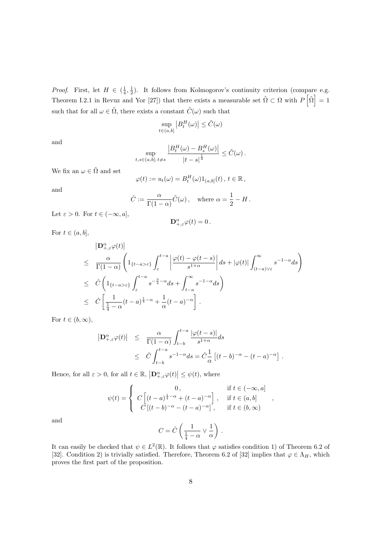*Proof.* First, let  $H \in (\frac{1}{4}, \frac{1}{2})$ . It follows from Kolmogorov's continuity criterion (compare e.g. Theorem I.2.1 in Revuz and Yor [27]) that there exists a measurable set  $\tilde{\Omega} \subset \Omega$  with  $P |\tilde{\Omega}| = 1$ such that for all  $\omega \in \tilde{\Omega}$ , there exists a constant  $\tilde{C}(\omega)$  such that

$$
\sup_{t \in (a,b]} \left| B^H_t(\omega) \right| \le \tilde{C}(\omega)
$$

and

$$
\sup_{t,s\in(a,b];\,t\neq s}\frac{\left|B_t^H(\omega)-B_s^H(\omega)\right|}{\left|t-s\right|^{\frac{1}{4}}}\leq \tilde{C}(\omega)\,.
$$

We fix an  $\omega \in \tilde{\Omega}$  and set

$$
\varphi(t) := u_t(\omega) = B_t^H(\omega) 1_{(a,b]}(t), t \in \mathbb{R},
$$

and

$$
\hat{C} := \frac{\alpha}{\Gamma(1-\alpha)} \tilde{C}(\omega), \text{ where } \alpha = \frac{1}{2} - H.
$$

Let  $\varepsilon > 0$ . For  $t \in (-\infty, a]$ ,

$$
\mathbf{D}_{+,\varepsilon}^{\alpha}\varphi(t)=0\,.
$$

For  $t \in (a, b]$ ,

$$
\begin{array}{lcl} && \left| {\mathbf D}^{\alpha}_{+,\varepsilon} \varphi(t)\right| \\[2mm] & \le & \displaystyle \frac{\alpha}{\Gamma(1-\alpha)} \left( {\mathbf 1}_{\{t-a>\varepsilon\}} \int_{\varepsilon}^{t-a} \left| \frac{\varphi(t)-\varphi(t-s)}{s^{1+\alpha}} \right| ds + |\varphi(t)| \int_{(t-a)\vee \varepsilon}^{\infty} s^{-1-\alpha} ds \right) \\[2mm] & \le & \displaystyle \hat C \left( {\mathbf 1}_{\{t-a>\varepsilon\}} \int_{\varepsilon}^{t-a} s^{-\frac{3}{4}-\alpha} ds + \int_{t-a}^{\infty} s^{-1-\alpha} ds \right) \\[2mm] & \le & \displaystyle \hat C \left[ \frac{1}{\frac{1}{4}-\alpha} (t-a)^{\frac{1}{4}-\alpha} + \frac{1}{\alpha} (t-a)^{-\alpha} \right] \, . \end{array}
$$

For  $t \in (b, \infty)$ ,

$$
\begin{array}{rcl}\n\left| \mathbf{D}^{\alpha}_{+,\varepsilon} \varphi(t) \right| & \leq & \dfrac{\alpha}{\Gamma(1-\alpha)} \int_{t-b}^{t-a} \dfrac{\left| \varphi(t-s) \right|}{s^{1+\alpha}} ds \\
& \leq & \hat{C} \int_{t-b}^{t-a} s^{-1-\alpha} ds = \hat{C} \dfrac{1}{\alpha} \left[ (t-b)^{-\alpha} - (t-a)^{-\alpha} \right] \, .\n\end{array}
$$

Hence, for all  $\varepsilon > 0$ , for all  $t \in \mathbb{R}$ ,  $\big| \mathbf{D}^{\alpha}_{+,\varepsilon} \varphi(t) \big|$  $|\leq \psi(t)$ , where

$$
\psi(t) = \begin{cases}\n0, & \text{if } t \in (-\infty, a] \\
C\left[(t-a)^{\frac{1}{4}-\alpha} + (t-a)^{-\alpha}\right], & \text{if } t \in (a, b] \\
C\left[(t-b)^{-\alpha} - (t-a)^{-\alpha}\right], & \text{if } t \in (b, \infty)\n\end{cases}
$$

,

and

$$
C = \hat{C} \left( \frac{1}{\frac{1}{4} - \alpha} \vee \frac{1}{\alpha} \right) .
$$

It can easily be checked that  $\psi \in L^2(\mathbb{R})$ . It follows that  $\varphi$  satisfies condition 1) of Theorem 6.2 of [32]. Condition 2) is trivially satisfied. Therefore, Theorem 6.2 of [32] implies that  $\varphi \in \Lambda_H$ , which proves the first part of the proposition.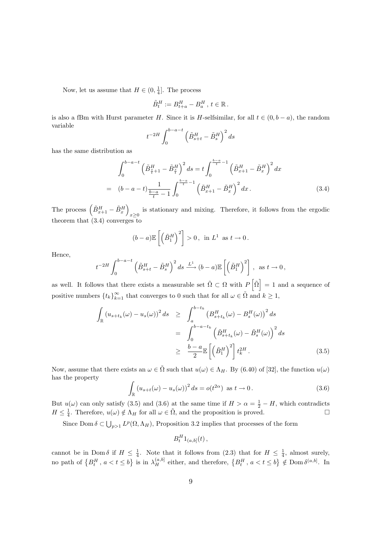Now, let us assume that  $H \in (0, \frac{1}{4}]$ . The process

$$
\tilde{B}_t^H := B_{t+a}^H - B_a^H, t \in \mathbb{R}.
$$

is also a fBm with Hurst parameter H. Since it is H-selfsimilar, for all  $t \in (0, b - a)$ , the random variable  $r^{b-a-t}$ 

$$
t^{-2H} \int_0^{b-a-t} \left(\tilde{B}_{s+t}^H - \tilde{B}_s^H\right)^2 ds
$$

has the same distribution as

$$
\int_0^{b-a-t} \left(\tilde{B}_{\frac{s}{t}+1}^H - \tilde{B}_{\frac{s}{t}}^H\right)^2 ds = t \int_0^{\frac{b-a}{t}-1} \left(\tilde{B}_{x+1}^H - \tilde{B}_x^H\right)^2 dx
$$
  
=  $(b-a-t) \frac{1}{\frac{b-a}{t}-1} \int_0^{\frac{b-a}{t}-1} \left(\tilde{B}_{x+1}^H - \tilde{B}_x^H\right)^2 dx$ . (3.4)

The process  $\left(\tilde{B}_{x+1}^H - \tilde{B}_{x}^H\right)$ is stationary and mixing. Therefore, it follows from the ergodic  $x\geq 0$ theorem that (3.4) converges to

$$
(b-a)\mathbb{E}\left[\left(\tilde{B}_1^H\right)^2\right]>0\,,\ \ \text{in}\ \ L^1\ \ \text{as}\ t\to 0\,.
$$

Hence,

$$
t^{-2H} \int_0^{b-a-t} \left(\tilde{B}_{s+t}^H - \tilde{B}_s^H\right)^2 ds \xrightarrow{L^1} (b-a) \mathbb{E}\left[\left(\tilde{B}_1^H\right)^2\right], \text{ as } t \to 0,
$$

as well. It follows that there exists a measurable set  $\tilde{\Omega} \subset \Omega$  with P  $\tilde{\Omega}$ = 1 and a sequence of positive numbers  $\{t_k\}_{k=1}^{\infty}$  that converges to 0 such that for all  $\omega \in \tilde{\Omega}$  and  $k \geq 1$ ,

$$
\int_{\mathbb{R}} \left( u_{s+t_k}(\omega) - u_s(\omega) \right)^2 ds \geq \int_a^{b-t_k} \left( B_{s+t_k}^H(\omega) - B_s^H(\omega) \right)^2 ds
$$

$$
= \int_0^{b-a-t_k} \left( \tilde{B}_{s+t_k}^H(\omega) - \tilde{B}_s^H(\omega) \right)^2 ds
$$

$$
\geq \frac{b-a}{2} \mathbb{E} \left[ \left( \tilde{B}_1^H \right)^2 \right] t_k^{2H} . \tag{3.5}
$$

Now, assume that there exists an  $\omega \in \tilde{\Omega}$  such that  $u(\omega) \in \Lambda_H$ . By (6.40) of [32], the function  $u(\omega)$ has the property

$$
\int_{\mathbb{R}} \left( u_{s+t}(\omega) - u_s(\omega) \right)^2 ds = o(t^{2\alpha}) \text{ as } t \to 0.
$$
\n(3.6)

But  $u(\omega)$  can only satisfy (3.5) and (3.6) at the same time if  $H > \alpha = \frac{1}{2} - H$ , which contradicts  $H \leq \frac{1}{4}$ . Therefore,  $u(\omega) \notin \Lambda_H$  for all  $\omega \in \tilde{\Omega}$ , and the proposition is proved.

Since Dom  $\delta \subset \bigcup_{p>1} L^p(\Omega,\Lambda_H)$ , Proposition 3.2 implies that processes of the form

$$
B_t^H 1_{(a,b]}(t)\,,
$$

cannot be in Dom  $\delta$  if  $H \leq \frac{1}{4}$ . Note that it follows from (2.3) that for  $H \leq \frac{1}{4}$ , almost surely, no path of  $\{B_t^H, a < t \leq b\}$  is in  $\lambda_H^{(a,b]}$  either, and therefore,  $\{B_t^H, a < t \leq b\} \notin \text{Dom }\delta^{(a,b]}$ . In ª is in  $\lambda_H^{(a,b]}$  either, and therefore,  $\{B_t^H, a < t \leq b\}$ ª  $\notin$  Dom  $\delta^{(a,b]}$ . In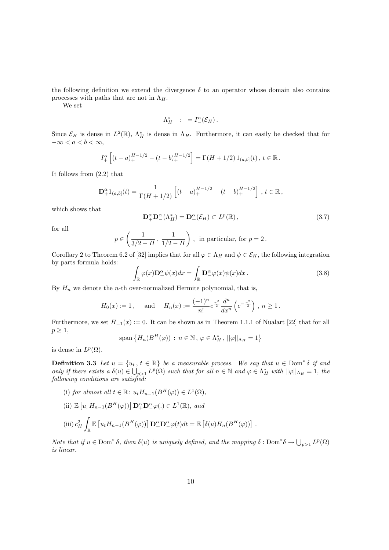the following definition we extend the divergence  $\delta$  to an operator whose domain also contains processes with paths that are not in  $\Lambda_H$ .

We set

$$
\Lambda_H^* \quad : \quad = I^\alpha_-(\mathcal{E}_H) \, .
$$

Since  $\mathcal{E}_H$  is dense in  $L^2(\mathbb{R})$ ,  $\Lambda_H^*$  is dense in  $\Lambda_H$ . Furthermore, it can easily be checked that for  $-\infty < a < b < \infty$ ,

$$
I_+^{\alpha} \left[ (t-a)_+^{H-1/2} - (t-b)_+^{H-1/2} \right] = \Gamma(H+1/2) 1_{(a,b]}(t), t \in \mathbb{R}.
$$

It follows from (2.2) that

$$
\mathbf{D}_{+}^{\alpha}1_{(a,b]}(t) = \frac{1}{\Gamma(H+1/2)}\left[ (t-a)_{+}^{H-1/2} - (t-b)_{+}^{H-1/2} \right], t \in \mathbb{R},
$$

which shows that

$$
\mathbf{D}_{+}^{\alpha}\mathbf{D}_{-}^{\alpha}(\Lambda_{H}^{*}) = \mathbf{D}_{+}^{\alpha}(\mathcal{E}_{H}) \subset L^{p}(\mathbb{R}), \qquad (3.7)
$$

for all

$$
p \in \left(\frac{1}{3/2 - H}, \frac{1}{1/2 - H}\right), \text{ in particular, for } p = 2.
$$

Corollary 2 to Theorem 6.2 of [32] implies that for all  $\varphi \in \Lambda_H$  and  $\psi \in \mathcal{E}_H$ , the following integration by parts formula holds:

$$
\int_{\mathbb{R}} \varphi(x) \mathbf{D}_+^{\alpha} \psi(x) dx = \int_{\mathbb{R}} \mathbf{D}_-^{\alpha} \varphi(x) \psi(x) dx.
$$
\n(3.8)

By  $H_n$  we denote the *n*-th over-normalized Hermite polynomial, that is,

$$
H_0(x):=1\,,\quad \text{ and }\quad H_n(x):=\frac{(-1)^n}{n!}e^{\frac{x^2}{2}}\frac{d^n}{dx^n}\left(e^{-\frac{x^2}{2}}\right)\,,\,n\geq 1\,.
$$

Furthermore, we set  $H_{-1}(x) := 0$ . It can be shown as in Theorem 1.1.1 of Nualart [22] that for all  $p \geq 1$ ,

$$
\text{span}\left\{H_n(B^H(\varphi))\,:\,n\in\mathbb{N}\,,\,\varphi\in\Lambda_H^*\,,\,||\varphi||_{\Lambda_H}=1\right\}
$$

is dense in  $L^p(\Omega)$ .

**Definition 3.3** Let  $u = \{u_t, t \in \mathbb{R}\}$  be a measurable process. We say that  $u \in \text{Dom}^* \delta$  if and only if there exists a  $\delta(u) \in \bigcup_{p>1} L^p(\Omega)$  such that for all  $n \in \mathbb{N}$  and  $\varphi \in \Lambda_H^*$  with  $||\varphi||_{\Lambda_H} = 1$ , the following conditions are satisfied:

- (i) for almost all  $t \in \mathbb{R}$ :  $u_t H_{n-1}(B^H(\varphi)) \in L^1(\Omega)$ ,
- $(ii) \mathbb{E}$  $[u, H_{n-1}(B^H(\varphi))] \mathbf{D}_+^{\alpha} \mathbf{D}_-^{\alpha} \varphi(.) \in L^1(\mathbb{R}),$  and

(iii) 
$$
c_H^2 \int_{\mathbb{R}} \mathbb{E} \left[ u_t H_{n-1}(B^H(\varphi)) \right] \mathbf{D}_+^{\alpha} \mathbf{D}_-^{\alpha} \varphi(t) dt = \mathbb{E} \left[ \delta(u) H_n(B^H(\varphi)) \right].
$$

Note that if  $u \in \text{Dom}^* \delta$ , then  $\delta(u)$  is uniquely defined, and the mapping  $\delta : \text{Dom}^* \delta \to \bigcup_{p>1} L^p(\Omega)$ is linear.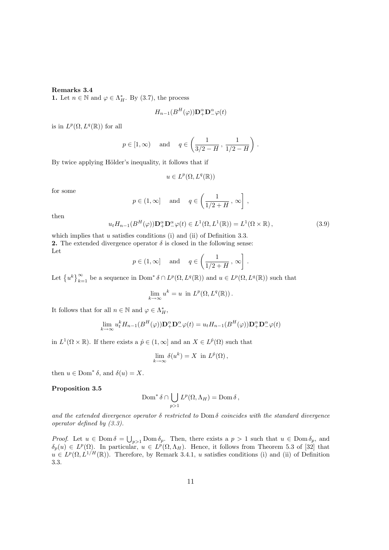#### Remarks 3.4

**1.** Let  $n \in \mathbb{N}$  and  $\varphi \in \Lambda_H^*$ . By (3.7), the process

$$
H_{n-1}(B^H(\varphi))\mathbf{D}_+^{\alpha}\mathbf{D}_-^{\alpha}\varphi(t)
$$

is in  $L^p(\Omega, L^q(\mathbb{R}))$  for all

$$
p \in [1, \infty)
$$
 and  $q \in \left(\frac{1}{3/2 - H}, \frac{1}{1/2 - H}\right)$ .

By twice applying Hölder's inequality, it follows that if

$$
u \in L^p(\Omega, L^q(\mathbb{R}))
$$

for some

$$
p \in (1, \infty]
$$
 and  $q \in \left(\frac{1}{1/2 + H}, \infty\right]$ ,

then

$$
u_t H_{n-1}(B^H(\varphi)) \mathbf{D}_+^{\alpha} \mathbf{D}_-^{\alpha} \varphi(t) \in L^1(\Omega, L^1(\mathbb{R})) = L^1(\Omega \times \mathbb{R}), \tag{3.9}
$$

which implies that  $u$  satisfies conditions (i) and (ii) of Definition 3.3. **2.** The extended divergence operator  $\delta$  is closed in the following sense: Let  $\overline{a}$  $\overline{a}$ 

$$
p \in (1, \infty]
$$
 and  $q \in \left(\frac{1}{1/2 + H}, \infty\right]$ .

Let  $\{u^k\}_{k=1}^{\infty}$  be a sequence in Dom<sup>\*</sup>  $\delta \cap L^p(\Omega, L^q(\mathbb{R}))$  and  $u \in L^p(\Omega, L^q(\mathbb{R}))$  such that

$$
\lim_{k \to \infty} u^k = u \text{ in } L^p(\Omega, L^q(\mathbb{R})).
$$

It follows that for all  $n \in \mathbb{N}$  and  $\varphi \in \Lambda_H^*$ ,

$$
\lim_{k \to \infty} u_t^k H_{n-1}(B^H(\varphi)) \mathbf{D}_+^{\alpha} \mathbf{D}_-^{\alpha} \varphi(t) = u_t H_{n-1}(B^H(\varphi)) \mathbf{D}_+^{\alpha} \mathbf{D}_-^{\alpha} \varphi(t)
$$

in  $L^1(\Omega \times \mathbb{R})$ . If there exists a  $\hat{p} \in (1,\infty]$  and an  $X \in L^{\hat{p}}(\Omega)$  such that

$$
\lim_{k \to \infty} \delta(u^k) = X \text{ in } L^{\hat{p}}(\Omega),
$$

then  $u \in \text{Dom}^* \delta$ , and  $\delta(u) = X$ .

#### Proposition 3.5

$$
\operatorname{Dom}^* \delta \cap \bigcup_{p>1} L^p(\Omega, \Lambda_H) = \operatorname{Dom} \delta,
$$

and the extended divergence operator  $\delta$  restricted to Dom  $\delta$  coincides with the standard divergence operator defined by (3.3).

*Proof.* Let  $u \in \text{Dom }\delta = \bigcup_{p>1} \text{Dom }\delta_p$ . Then, there exists a  $p > 1$  such that  $u \in \text{Dom }\delta_p$ , and  $\delta_p(u) \in L^p(\Omega)$ . In particular,  $u \in L^p(\Omega,\Lambda_H)$ . Hence, it follows from Theorem 5.3 of [32] that  $u \in L^p(\Omega, L^{1/H}(\mathbb{R}))$ . Therefore, by Remark 3.4.1, u satisfies conditions (i) and (ii) of Definition 3.3.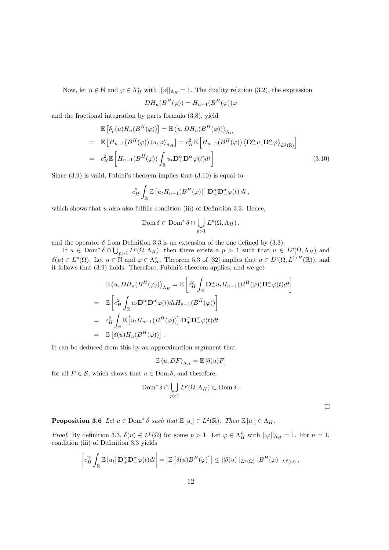Now, let  $n \in \mathbb{N}$  and  $\varphi \in \Lambda_H^*$  with  $||\varphi||_{\Lambda_H} = 1$ . The duality relation (3.2), the expression

$$
DH_n(B^H(\varphi)) = H_{n-1}(B^H(\varphi))\varphi
$$

and the fractional integration by parts formula (3.8), yield

$$
\mathbb{E}\left[\delta_p(u)H_n(B^H(\varphi))\right] = \mathbb{E}\left\langle u, DH_n(B^H(\varphi))\right\rangle_{\Lambda_H}
$$
\n
$$
= \mathbb{E}\left[H_{n-1}(B^H(\varphi))\left\langle u, \varphi\right\rangle_{\Lambda_H}\right] = c_H^2 \mathbb{E}\left[H_{n-1}(B^H(\varphi))\left\langle \mathbf{D}^{\alpha}_- u, \mathbf{D}^{\alpha}_-\varphi \right\rangle_{L^2(\mathbb{R})}\right]
$$
\n
$$
= c_H^2 \mathbb{E}\left[H_{n-1}(B^H(\varphi))\int_{\mathbb{R}} u_t \mathbf{D}^{\alpha}_+ \mathbf{D}^{\alpha}_-\varphi(t)dt\right]
$$
\n(3.10)

Since (3.9) is valid, Fubini's theorem implies that (3.10) is equal to

$$
c_H^2 \int_{\mathbb{R}} \mathbb{E} \left[ u_t H_{n-1}(B^H(\varphi)) \right] \mathbf{D}_+^{\alpha} \mathbf{D}_-^{\alpha} \varphi(t) dt,
$$

which shows that  $u$  also also fulfills condition (iii) of Definition 3.3. Hence,

$$
\operatorname{Dom} \delta \subset \operatorname{Dom}^* \delta \cap \bigcup_{p>1} L^p(\Omega, \Lambda_H).
$$

and the operator  $\delta$  from Definition 3.3 is an extension of the one defined by (3.3).

If  $u \in \text{Dom}^* \delta \cap \bigcup_{p>1} L^p(\Omega, \Lambda_H)$ , then there exists a  $p > 1$  such that  $u \in L^p(\Omega, \Lambda_H)$  and  $\delta(u) \in L^p(\Omega)$ . Let  $n \in \mathbb{N}$  and  $\varphi \in \Lambda_H^*$ . Theorem 5.3 of [32] implies that  $u \in L^p(\Omega, L^{1/H}(\mathbb{R}))$ , and it follows that (3.9) holds. Therefore, Fubini's theorem applies, and we get

$$
\mathbb{E}\langle u, DH_n(B^H(\varphi))\rangle_{\Lambda_H} = \mathbb{E}\left[c_H^2 \int_{\mathbb{R}} \mathbf{D}^\alpha_- u_t H_{n-1}(B^H(\varphi)) \mathbf{D}^\alpha_-\varphi(t) dt\right]
$$
\n
$$
= \mathbb{E}\left[c_H^2 \int_{\mathbb{R}} u_t \mathbf{D}^\alpha_+ \mathbf{D}^\alpha_-\varphi(t) dt H_{n-1}(B^H(\varphi))\right]
$$
\n
$$
= c_H^2 \int_{\mathbb{R}} \mathbb{E}\left[u_t H_{n-1}(B^H(\varphi))\right] \mathbf{D}^\alpha_+ \mathbf{D}^\alpha_-\varphi(t) dt
$$
\n
$$
= \mathbb{E}\left[\delta(u) H_n(B^H(\varphi))\right].
$$

It can be deduced from this by an approximation argument that

$$
\mathbb{E}\left\langle u, DF \right\rangle_{\Lambda_H} = \mathbb{E}\left[ \delta(u)F \right]
$$

for all  $F \in \mathcal{S}$ , which shows that  $u \in \text{Dom } \delta$ , and therefore,

$$
\operatorname{Dom}^* \delta \cap \bigcup_{p>1} L^p(\Omega,\Lambda_H) \subset \operatorname{Dom} \delta.
$$

 $\Box$ 

**Proposition 3.6** Let  $u \in \text{Dom}^* \delta$  such that  $\mathbb{E}[u] \in L^2(\mathbb{R})$ . Then  $\mathbb{E}[u] \in \Lambda_H$ .

*Proof.* By definition 3.3,  $\delta(u) \in L^p(\Omega)$  for some  $p > 1$ . Let  $\varphi \in \Lambda_H^*$  with  $||\varphi||_{\Lambda_H} = 1$ . For  $n = 1$ , condition (iii) of Definition 3.3 yields

$$
\left|c_H^2\int_{\mathbb{R}}\mathbb{E}\left[u_t\right]\mathbf{D}_+^{\alpha}\mathbf{D}_-^{\alpha}\varphi(t)dt\right|=\left|\mathbb{E}\left[\delta(u)B^H(\varphi)\right]\right|\leq ||\delta(u)||_{L^p(\Omega)}||B^H(\varphi)||_{L^{\tilde{p}}(\Omega)},
$$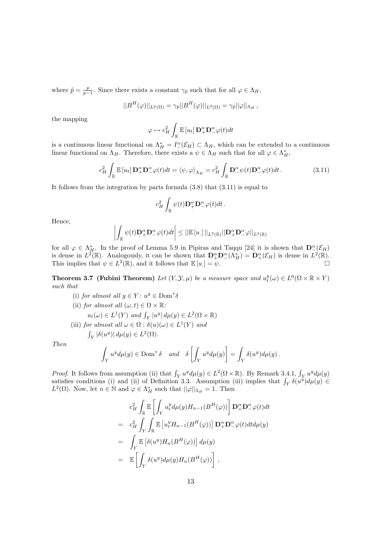where  $\tilde{p} = \frac{p}{p-1}$ . Since there exists a constant  $\gamma_{\tilde{p}}$  such that for all  $\varphi \in \Lambda_H$ ,

$$
||B^H(\varphi)||_{L^{\bar{p}}(\Omega)} = \gamma_{\bar{p}}||B^H(\varphi)||_{L^2(\Omega)} = \gamma_{\bar{p}}||\varphi||_{\Lambda_H},
$$

the mapping

$$
\varphi \mapsto c_H^2 \int_{\mathbb{R}} \mathbb{E}\left[u_t\right] \mathbf{D}_+^{\alpha} \mathbf{D}_-^{\alpha} \varphi(t) dt
$$

is a continuous linear functional on  $\Lambda_H^* = I^{\alpha}(\mathcal{E}_H) \subset \Lambda_H$ , which can be extended to a continuous linear functional on  $\Lambda_H$ . Therefore, there exists a  $\psi \in \Lambda_H$  such that for all  $\varphi \in \Lambda_H^*$ ,

$$
c_H^2 \int_{\mathbb{R}} \mathbb{E}\left[u_t\right] \mathbf{D}_+^{\alpha} \mathbf{D}_-^{\alpha} \varphi(t) dt = \langle \psi, \varphi \rangle_{\Lambda_H} = c_H^2 \int_{\mathbb{R}} \mathbf{D}_-^{\alpha} \psi(t) \mathbf{D}_-^{\alpha} \varphi(t) dt.
$$
 (3.11)

It follows from the integration by parts formula (3.8) that (3.11) is equal to

$$
c_H^2\int_{\mathbb{R}}\psi(t)\mathbf{D}_+^{\alpha}\mathbf{D}_-^{\alpha}\varphi(t)dt.
$$

Hence,

$$
\left|\int_{\mathbb{R}} \psi(t) \mathbf{D}_+^{\alpha} \mathbf{D}_-^{\alpha} \varphi(t) dt\right| \leq ||\mathbb{E}\left[u_{.}\right]||_{L^2(\mathbb{R})} ||\mathbf{D}_+^{\alpha} \mathbf{D}_-^{\alpha} \varphi||_{L^2(\mathbb{R})}
$$

for all  $\varphi \in \Lambda_H^*$ . In the proof of Lemma 5.9 in Pipiras and Taqqu [24] it is shown that  $\mathbf{D}^{\alpha}(\mathcal{E}_H)$ is dense in  $L^2(\mathbb{R})$ . Analogously, it can be shown that  $\mathbf{D}_+^{\alpha}\mathbf{D}_-^{\alpha}(\Lambda_H^*) = \mathbf{D}_+^{\alpha}(\mathcal{E}_H)$  is dense in  $L^2(\mathbb{R})$ . This implies that  $\psi \in L^2(\mathbb{R})$ , and it follows that  $\mathbb{E}[u] = \psi$ .

**Theorem 3.7 (Fubini Theorem)** Let  $(Y, Y, \mu)$  be a measure space and  $u_t^y(\omega) \in L^0(\Omega \times \mathbb{R} \times Y)$ such that

\n- (i) for almost all 
$$
y \in Y: u^y \in \text{Dom}^*\delta
$$
\n- (ii) for almost all  $(\omega, t) \in \Omega \times \mathbb{R}$ :
\n- $u_t(\omega) \in L^1(Y)$  and  $\int_Y |u^y| d\mu(y) \in L^2(\Omega \times \mathbb{R})$
\n- (iii) for almost all  $\omega \in \Omega : \delta(u)(\omega) \in L^1(Y)$  and  $\int_Y |\delta(u^y)| d\mu(y) \in L^2(\Omega)$ .
\n

Then

$$
\int_Y u^y d\mu(y) \in \text{Dom}^*\,\delta \quad and \quad \delta \left[ \int_Y u^y d\mu(y) \right] = \int_Y \delta(u^y) d\mu(y) \,.
$$

Proof. It follows from assumption (ii) that  $\int_Y u^y d\mu(y) \in L^2(\Omega \times \mathbb{R})$ . By Remark 3.4.1,  $\int_Y u^y d\mu(y)$  satisfies conditions (i) and (ii) of Definition 3.3. Assumption (iii) implies that  $\int_Y \delta(u^y) d\mu(y) \in$  $L^2(\Omega)$ . Now, let  $n \in \mathbb{N}$  and  $\varphi \in \Lambda_H^*$  such that  $||\varphi||_{\Lambda_H} = 1$ . Then

$$
c_H^2 \int_{\mathbb{R}} \mathbb{E} \left[ \int_Y u_t^y d\mu(y) H_{n-1}(B^H(\varphi)) \right] \mathbf{D}_+^\alpha \mathbf{D}_-^\alpha \varphi(t) dt
$$
  
\n
$$
= c_H^2 \int_Y \int_{\mathbb{R}} \mathbb{E} \left[ u_t^y H_{n-1}(B^H(\varphi)) \right] \mathbf{D}_+^\alpha \mathbf{D}_-^\alpha \varphi(t) dt d\mu(y)
$$
  
\n
$$
= \int_Y \mathbb{E} \left[ \delta(u^y) H_n(B^H(\varphi)) \right] d\mu(y)
$$
  
\n
$$
= \mathbb{E} \left[ \int_Y \delta(u^y) d\mu(y) H_n(B^H(\varphi)) \right],
$$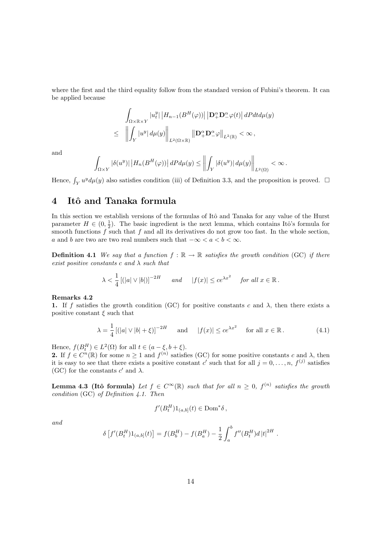where the first and the third equality follow from the standard version of Fubini's theorem. It can be applied because

$$
\int_{\Omega\times\mathbb{R}\times Y} |u_t^y|\, \left|H_{n-1}(B^H(\varphi))\right| \left|\mathbf{D}_+^\alpha \mathbf{D}_-^\alpha \varphi(t)\right| dP dt d\mu(y)
$$
\n
$$
\leq \quad \left\|\int_Y |u^y|\, d\mu(y)\right\|_{L^2(\Omega\times\mathbb{R})} \left\|\mathbf{D}_+^\alpha \mathbf{D}_-^\alpha \varphi\right\|_{L^2(\mathbb{R})} < \infty \,,
$$

and

$$
\int_{\Omega \times Y} |\delta(u^y)| |H_n(B^H(\varphi))| dP d\mu(y) \le \left\| \int_Y |\delta(u^y)| d\mu(y) \right\|_{L^2(\Omega)} < \infty.
$$

Hence,  $\int_Y u^y d\mu(y)$  also satisfies condition (iii) of Definition 3.3, and the proposition is proved.  $\Box$ 

# 4 Itô and Tanaka formula

In this section we establish versions of the formulas of Itô and Tanaka for any value of the Hurst parameter  $H \in (0, \frac{1}{2})$ . The basic ingredient is the next lemma, which contains Itô's formula for smooth functions  $\tilde{f}$  such that  $f$  and all its derivatives do not grow too fast. In the whole section, a and b are two are two real numbers such that  $-\infty < a < b < \infty$ .

**Definition 4.1** We say that a function  $f : \mathbb{R} \to \mathbb{R}$  satisfies the growth condition (GC) if there exist positive constants  $c$  and  $\lambda$  such that

$$
\lambda < \frac{1}{4} \left[ (|a| \vee |b|) \right]^{-2H} \quad \text{and} \quad |f(x)| \leq c e^{\lambda x^2} \quad \text{for all } x \in \mathbb{R} \, .
$$

#### Remarks 4.2

1. If f satisfies the growth condition (GC) for positive constants c and  $\lambda$ , then there exists a positive constant  $\xi$  such that

$$
\lambda = \frac{1}{4} \left[ (|a| \vee |b| + \xi) \right]^{-2H} \quad \text{and} \quad |f(x)| \le c e^{\lambda x^2} \quad \text{for all } x \in \mathbb{R} \,. \tag{4.1}
$$

Hence,  $f(B_t^H) \in L^2(\Omega)$  for all  $t \in (a - \xi, b + \xi)$ .

**2.** If  $f \in C^n(\mathbb{R})$  for some  $n \geq 1$  and  $f^{(n)}$  satisfies (GC) for some positive constants c and  $\lambda$ , then it is easy to see that there exists a positive constant c' such that for all  $j = 0, \ldots, n$ ,  $f^{(j)}$  satisfies (GC) for the constants  $c'$  and  $\lambda$ .

**Lemma 4.3 (Itô formula)** Let  $f \in C^{\infty}(\mathbb{R})$  such that for all  $n \geq 0$ ,  $f^{(n)}$  satisfies the growth condition (GC) of Definition 4.1. Then

$$
f'(B_t^H)1_{(a,b]}(t) \in \text{Dom}^*\delta\,,
$$

and

$$
\delta \left[ f'(B_t^H) 1_{(a,b]}(t) \right] = f(B_b^H) - f(B_a^H) - \frac{1}{2} \int_a^b f''(B_t^H) d|t|^{2H}.
$$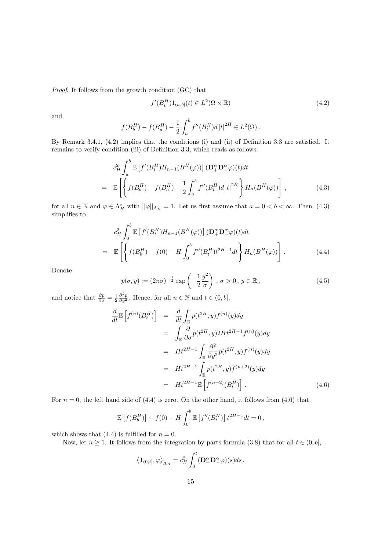Proof. It follows from the growth condition (GC) that

$$
f'(B_t^H)1_{(a,b]}(t) \in L^2(\Omega \times \mathbb{R})
$$
\n
$$
(4.2)
$$

and

$$
f(B_b^H) - f(B_a^H) - \frac{1}{2} \int_a^b f''(B_t^H) d|t|^{2H} \in L^2(\Omega).
$$

By Remark 3.4.1, (4.2) implies that the conditions (i) and (ii) of Definition 3.3 are satisfied. It remains to verify condition (iii) of Definition 3.3, which reads as follows:

$$
c_H^2 \int_a^b \mathbb{E} \left[ f'(B_t^H) H_{n-1}(B^H(\varphi)) \right] (\mathbf{D}_+^\alpha \mathbf{D}_-^\alpha \varphi)(t) dt
$$
  
= 
$$
\mathbb{E} \left[ \left\{ f(B_b^H) - f(B_a^H) - \frac{1}{2} \int_a^b f''(B_t^H) d|t|^{2H} \right\} H_n(B^H(\varphi)) \right],
$$
 (4.3)

for all  $n \in \mathbb{N}$  and  $\varphi \in \Lambda_H^*$  with  $\|\varphi\|_{\Lambda_H} = 1$ . Let us first assume that  $a = 0 < b < \infty$ . Then, (4.3) simplifies to

$$
c_H^2 \int_0^b \mathbb{E}\left[f'(B_t^H)H_{n-1}(B^H(\varphi))\right](\mathbf{D}_+^\alpha \mathbf{D}_-^\alpha \varphi)(t)dt
$$
  
=\mathbb{E}\left[\left\{f(B\_b^H) - f(0) - H \int\_0^b f''(B\_t^H) t^{2H-1} dt\right\} H\_n(B^H(\varphi))\right]. (4.4)

Denote

$$
p(\sigma, y) := (2\pi\sigma)^{-\frac{1}{2}} \exp\left(-\frac{1}{2}\frac{y^2}{\sigma}\right), \sigma > 0, y \in \mathbb{R},
$$
\n(4.5)

and notice that  $\frac{\partial p}{\partial \sigma} = \frac{1}{2} \frac{\partial^2 p}{\partial y^2}$ . Hence, for all  $n \in \mathbb{N}$  and  $t \in (0, b]$ ,

$$
\frac{d}{dt} \mathbb{E}\left[f^{(n)}(B_t^H)\right] = \frac{d}{dt} \int_{\mathbb{R}} p(t^{2H}, y) f^{(n)}(y) dy
$$
\n
$$
= \int_{\mathbb{R}} \frac{\partial}{\partial \sigma} p(t^{2H}, y) 2H t^{2H-1} f^{(n)}(y) dy
$$
\n
$$
= H t^{2H-1} \int_{\mathbb{R}} \frac{\partial^2}{\partial y^2} p(t^{2H}, y) f^{(n)}(y) dy
$$
\n
$$
= H t^{2H-1} \int_{\mathbb{R}} p(t^{2H}, y) f^{(n+2)}(y) dy
$$
\n
$$
= H t^{2H-1} \mathbb{E}\left[f^{(n+2)}(B_t^H)\right]. \tag{4.6}
$$

For  $n = 0$ , the left hand side of (4.4) is zero. On the other hand, it follows from (4.6) that

$$
\mathbb{E}\left[f(B_b^H)\right] - f(0) - H \int_0^b \mathbb{E}\left[f''(B_t^H)\right] t^{2H-1} dt = 0,
$$

which shows that (4.4) is fulfilled for  $n = 0$ .

Now, let  $n \geq 1$ . It follows from the integration by parts formula (3.8) that for all  $t \in (0, b]$ ,

$$
\left<1_{(0,t]},\varphi\right>_{\Lambda_H}=c_H^2\int_0^t(\mathbf{D}_+^\alpha\mathbf{D}_-^\alpha\varphi)(s)ds\,,
$$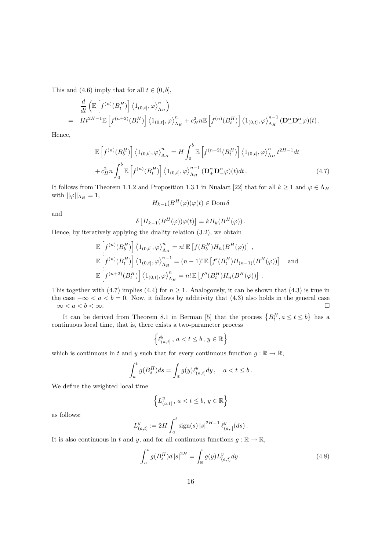This and (4.6) imply that for all  $t \in (0, b]$ ,

$$
\frac{d}{dt} \left( \mathbb{E} \left[ f^{(n)}(B_t^H) \right] \langle 1_{(0,t]}, \varphi \rangle_{\Lambda_H}^n \right) \n= H t^{2H-1} \mathbb{E} \left[ f^{(n+2)}(B_t^H) \right] \langle 1_{(0,t]}, \varphi \rangle_{\Lambda_H}^n + c_H^2 n \mathbb{E} \left[ f^{(n)}(B_t^H) \right] \langle 1_{(0,t]}, \varphi \rangle_{\Lambda_H}^{n-1} (\mathbf{D}_+^{\alpha} \mathbf{D}_-^{\alpha} \varphi)(t) .
$$

Hence,

$$
\mathbb{E}\left[f^{(n)}(B_b^H)\right] \langle 1_{(0,b]}, \varphi \rangle_{\Lambda_H}^n = H \int_0^b \mathbb{E}\left[f^{(n+2)}(B_t^H)\right] \langle 1_{(0,t]}, \varphi \rangle_{\Lambda_H}^n t^{2H-1} dt + c_H^2 n \int_0^b \mathbb{E}\left[f^{(n)}(B_t^H)\right] \langle 1_{(0,t]}, \varphi \rangle_{\Lambda_H}^{n-1} (\mathbf{D}_+^\alpha \mathbf{D}_-^\alpha \varphi)(t) dt.
$$
\n(4.7)

It follows from Theorem 1.1.2 and Proposition 1.3.1 in Nualart [22] that for all  $k \ge 1$  and  $\varphi \in \Lambda_H$ with  $||\varphi||_{\Lambda_H} = 1$ ,

$$
H_{k-1}(B^H(\varphi))\varphi(t) \in \text{Dom}\,\delta
$$

and

$$
\delta[H_{k-1}(B^H(\varphi))\varphi(t)] = kH_k(B^H(\varphi)).
$$

Hence, by iteratively applying the duality relation (3.2), we obtain

$$
\mathbb{E}\left[f^{(n)}(B_b^H)\right] \langle 1_{(0,b]}, \varphi \rangle_{\Lambda_H}^n = n! \mathbb{E}\left[f(B_b^H)H_n(B^H(\varphi))\right],
$$
  

$$
\mathbb{E}\left[f^{(n)}(B_t^H)\right] \langle 1_{(0,t]}, \varphi \rangle_{\Lambda_H}^{n-1} = (n-1)! \mathbb{E}\left[f'(B_t^H)H_{(n-1)}(B^H(\varphi))\right] \text{ and}
$$
  

$$
\mathbb{E}\left[f^{(n+2)}(B_t^H)\right] \langle 1_{(0,t]}, \varphi \rangle_{\Lambda_H}^n = n! \mathbb{E}\left[f''(B_t^H)H_n(B^H(\varphi))\right].
$$

This together with (4.7) implies (4.4) for  $n \geq 1$ . Analogously, it can be shown that (4.3) is true in the case  $-\infty < a < b = 0$ . Now, it follows by additivity that (4.3) also holds in the general case  $-\infty < a < b < \infty$ . ª

It can be derived from Theorem 8.1 in Berman [5] that the process  ${B_t^H, a \le t \le b}$ has a continuous local time, that is, there exists a two-parameter process

$$
\Big\{\ell_{(a,t]}^y\,,\,a
$$

which is continuous in t and y such that for every continuous function  $g : \mathbb{R} \to \mathbb{R}$ ,

$$
\int_a^t g(B_s^H)ds = \int_{\mathbb{R}} g(y) \ell_{(a,t]}^y dy\,, \quad a < t \leq b\,.
$$

We define the weighted local time

$$
\left\{L_{(a,t]}^y\,,\,a
$$

as follows:

$$
L_{(a,t]}^y := 2H \int_a^t \text{sign}(s) |s|^{2H-1} \, \ell_{(a,.)}^y(ds).
$$

It is also continuous in t and y, and for all continuous functions  $g : \mathbb{R} \to \mathbb{R}$ ,

$$
\int_{a}^{t} g(B_s^H) d|s|^{2H} = \int_{\mathbb{R}} g(y) L_{(a,t]}^y dy.
$$
\n(4.8)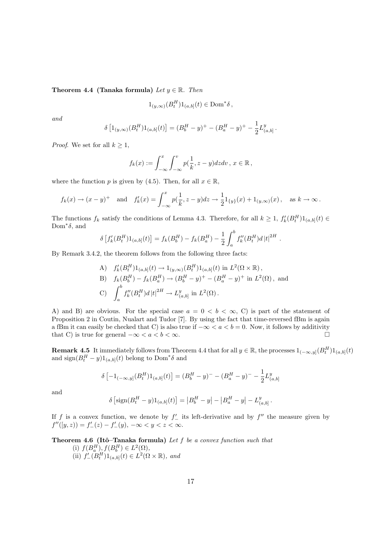Theorem 4.4 (Tanaka formula) Let  $y \in \mathbb{R}$ . Then

$$
1_{(y,\infty)}(B_t^H)1_{(a,b]}(t) \in \text{Dom}^*\delta\,,
$$

and

$$
\delta \left[1_{(y,\infty)}(B_t^H)1_{(a,b]}(t)\right] = (B_b^H - y)^+ - (B_a^H - y)^+ - \frac{1}{2}L_{(a,b]}^y.
$$

*Proof.* We set for all  $k \geq 1$ ,

$$
f_k(x) := \int_{-\infty}^x \int_{-\infty}^v p(\frac{1}{k}, z - y) dz dv, \ x \in \mathbb{R},
$$

where the function p is given by (4.5). Then, for all  $x \in \mathbb{R}$ ,

$$
f_k(x) \to (x - y)^+
$$
 and  $f'_k(x) = \int_{-\infty}^x p(\frac{1}{k}, z - y) dz \to \frac{1}{2} 1_{\{y\}}(x) + 1_{(y,\infty)}(x)$ , as  $k \to \infty$ .

The functions  $f_k$  satisfy the conditions of Lemma 4.3. Therefore, for all  $k \geq 1$ ,  $f'_k(B_t^H)1_{(a,b]}(t) \in$  $Dom^*\delta$ , and  $\overline{c}$ 

$$
\delta \left[ f'_k(B_t^H) 1_{(a,b]}(t) \right] = f_k(B_b^H) - f_k(B_a^H) - \frac{1}{2} \int_a^b f''_k(B_t^H) d|t|^{2H}.
$$

By Remark 3.4.2, the theorem follows from the following three facts:

A) 
$$
f'_k(B_t^H)1_{(a,b]}(t) \to 1_{(y,\infty)}(B_t^H)1_{(a,b]}(t)
$$
 in  $L^2(\Omega \times \mathbb{R})$ ,  
\nB)  $f_k(B_b^H) - f_k(B_a^H) \to (B_b^H - y)^+ - (B_a^H - y)^+$  in  $L^2(\Omega)$ , and  
\nC)  $\int_a^b f''_k(B_t^H) d|t|^{2H} \to L^y_{(a,b]}$  in  $L^2(\Omega)$ .

A) and B) are obvious. For the special case  $a = 0 \lt b \lt \infty$ , C) is part of the statement of Proposition 2 in Coutin, Nualart and Tudor [7]. By using the fact that time-reversed fBm is again a fBm it can easily be checked that C) is also true if  $-\infty < a < b = 0$ . Now, it follows by additivity that C) is true for general  $-\infty < a < b < \infty$ .

**Remark 4.5** It immediately follows from Theorem 4.4 that for all  $y \in \mathbb{R}$ , the processes  $1_{(-\infty,y]}(B_t^H)1_{(a,b]}(t)$ and  $\text{sign}(B_t^H - y)1_{(a,b]}(t)$  belong to  $\text{Dom}^*\delta$  and

.

$$
\delta \left[ -1_{(-\infty, y]} (B_t^H) 1_{(a, b]}(t) \right] = (B_b^H - y)^- - (B_a^H - y)^- - \frac{1}{2} L_{(a, b]}^y
$$

and

$$
\delta \left[ \text{sign}(B_t^H - y) 1_{(a,b]}(t) \right] = |B_b^H - y| - |B_a^H - y| - L_{(a,b]}^y
$$

If f is a convex function, we denote by  $f'$  its left-derivative and by  $f''$  the measure given by  $f''([y, z)) = f'_{-}(z) - f'_{-}(y), -\infty < y < z < \infty.$ 

Theorem 4.6 (Itô–Tanaka formula) Let  $f$  be a convex function such that

(i)  $f(B_a^H), f(B_b^H) \in L^2(\Omega)$ , (ii)  $f'_{-}(B_t^H)1_{(a,b]}(t) \in L^2(\Omega \times \mathbb{R}),$  and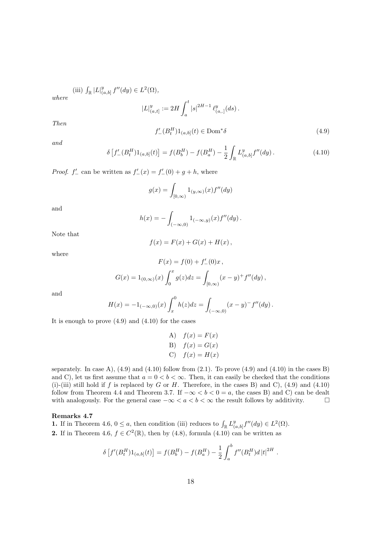(iii)  $\int_{\mathbb{R}} |L|_{(0)}^{y}$  $_{(a,b]}^y f''(dy) \in L^2(\Omega),$ 

where

Then

$$
|L|_{(a,t]}^y := 2H \int_a^t |s|^{2H-1} \ell_{(a,.)}^y(ds).
$$
  

$$
f'_{-}(B_t^H)1_{(a,b]}(t) \in \text{Dom}^*\delta
$$
 (4.9)

and

$$
\delta \left[ f'_{-}(B_t^H) 1_{(a,b]}(t) \right] = f(B_b^H) - f(B_a^H) - \frac{1}{2} \int_{\mathbb{R}} L^y_{(a,b]} f''(dy). \tag{4.10}
$$

*Proof.*  $f'_{-}$  can be written as  $f'_{-}(x) = f'_{-}(0) + g + h$ , where

$$
g(x) = \int_{[0,\infty)} 1_{(y,\infty)}(x) f''(dy)
$$

and

$$
h(x) = -\int_{(-\infty,0)} 1_{(-\infty,y)}(x) f''(dy).
$$

Note that

$$
f(x) = F(x) + G(x) + H(x),
$$

where

$$
F(x) = f(0) + f'_{-}(0)x ,
$$
  

$$
G(x) = 1_{(0,\infty)}(x) \int_0^x g(z)dz = \int_{[0,\infty)} (x - y)^{+} f''(dy) ,
$$

and

$$
H(x) = -1_{(-\infty,0)}(x) \int_x^0 h(z) dz = \int_{(-\infty,0)} (x-y)^{-} f''(dy).
$$

It is enough to prove  $(4.9)$  and  $(4.10)$  for the cases

A) 
$$
f(x) = F(x)
$$
  
\nB)  $f(x) = G(x)$   
\nC)  $f(x) = H(x)$ 

separately. In case A),  $(4.9)$  and  $(4.10)$  follow from  $(2.1)$ . To prove  $(4.9)$  and  $(4.10)$  in the cases B) and C), let us first assume that  $a = 0 < b < \infty$ . Then, it can easily be checked that the conditions (i)-(iii) still hold if f is replaced by G or H. Therefore, in the cases B) and C),  $(4.9)$  and  $(4.10)$ follow from Theorem 4.4 and Theorem 3.7. If  $-\infty < b < 0 = a$ , the cases B) and C) can be dealt with analogously. For the general case  $-\infty < a < b < \infty$  the result follows by additivity.  $\Box$ 

#### Remarks 4.7

**1.** If in Theorem 4.6,  $0 \le a$ , then condition (iii) reduces to  $\int_{\mathbb{R}} L_{(a)}^y$  $_{(a,b]}^y f''(dy) \in L^2(\Omega).$ **2.** If in Theorem 4.6,  $f \in C^2(\mathbb{R})$ , then by (4.8), formula (4.10) can be written as

$$
\delta \left[ f'(B_t^H) 1_{(a,b]}(t) \right] = f(B_b^H) - f(B_a^H) - \frac{1}{2} \int_a^b f''(B_t^H) d|t|^{2H}.
$$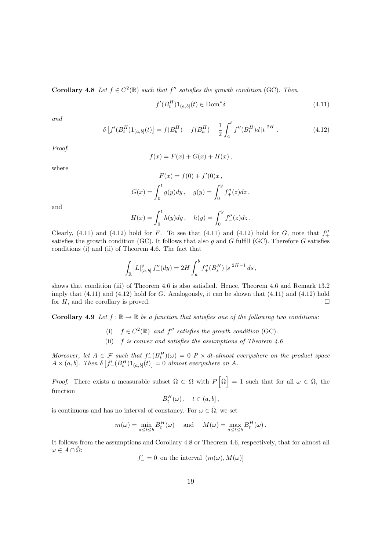**Corollary 4.8** Let  $f \in C^2(\mathbb{R})$  such that  $f''$  satisfies the growth condition (GC). Then

$$
f'(B_t^H)1_{(a,b]}(t) \in \text{Dom}^*\delta \tag{4.11}
$$

and

$$
\delta \left[ f'(B_t^H) 1_{(a,b]}(t) \right] = f(B_b^H) - f(B_a^H) - \frac{1}{2} \int_a^b f''(B_t^H) d|t|^{2H} . \tag{4.12}
$$

Proof.

$$
f(x) = F(x) + G(x) + H(x),
$$

where

$$
F(x) = f(0) + f'(0)x,
$$
  
\n
$$
G(x) = \int_0^t g(y) dy, \quad g(y) = \int_0^y f''_+(z) dz,
$$

and

$$
H(x) = \int_0^t h(y) dy, \quad h(y) = \int_0^y f''_-(z) dz.
$$

Clearly, (4.11) and (4.12) hold for F. To see that (4.11) and (4.12) hold for G, note that  $f''_+$ satisfies the growth condition (GC). It follows that also q and G fulfill (GC). Therefore G satisfies conditions (i) and (ii) of Theorem 4.6. The fact that

$$
\int_{\mathbb{R}} |L|_{(a,b]}^y f''_+(dy) = 2H \int_a^b f''_+(B_s^H) |s|^{2H-1} ds,
$$

shows that condition (iii) of Theorem 4.6 is also satisfied. Hence, Theorem 4.6 and Remark 13.2 imply that  $(4.11)$  and  $(4.12)$  hold for G. Analogously, it can be shown that  $(4.11)$  and  $(4.12)$  hold for  $H$ , and the corollary is proved.

**Corollary 4.9** Let  $f : \mathbb{R} \to \mathbb{R}$  be a function that satisfies one of the following two conditions:

- (i)  $f \in C^2(\mathbb{R})$  and f'' satisfies the growth condition (GC).
- (ii) f is convex and satisfies the assumptions of Theorem 4.6

Moreover, let  $A \in \mathcal{F}$  such that  $f'_{-}(B_t^H)(\omega) = 0$  P  $\times$  dt-almost everywhere on the product space  $A \times (a, b]$ . Then  $\delta$ £  $f'_{-}(B_t^H)1_{(a,b]}(t)$ ا.<br>- $= 0$  almost everywhere on A.

*Proof.* There exists a measurable subset  $\tilde{\Omega} \subset \Omega$  with P h  $\tilde{\Omega}$ i  $= 1$  such that for all  $\omega \in \tilde{\Omega}$ , the function

$$
B_t^H(\omega), \quad t \in (a, b],
$$

is continuous and has no interval of constancy. For  $\omega \in \tilde{\Omega},$  we set

$$
m(\omega) = \min_{a \le t \le b} B_t^H(\omega) \quad \text{and} \quad M(\omega) = \max_{a \le t \le b} B_t^H(\omega).
$$

It follows from the assumptions and Corollary 4.8 or Theorem 4.6, respectively, that for almost all  $\omega \in A \cap \tilde{\Omega}$ :

 $f'_{-} = 0$  on the interval  $(m(\omega), M(\omega))$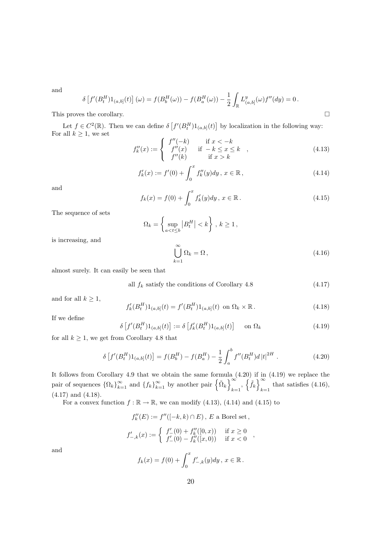and

$$
\delta \left[ f'(B_t^H) 1_{(a,b]}(t) \right](\omega) = f(B_b^H(\omega)) - f(B_a^H(\omega)) - \frac{1}{2} \int_{\mathbb{R}} L^y_{(a,b]}(\omega) f''(dy) = 0.
$$

This proves the corollary.  $\Box$ 

Let  $f \in C^2(\mathbb{R})$ . Then we can define  $\delta$ £  $f'(B_t^H)1_{(a,b]}(t)$ l<br>E by localization in the following way: For all  $k \geq 1$ , we set

$$
f''_k(x) := \begin{cases} f''(-k) & \text{if } x < -k \\ f''(x) & \text{if } -k \le x \le k \\ f''(k) & \text{if } x > k \end{cases} \tag{4.13}
$$

$$
f'_k(x) := f'(0) + \int_0^x f''_k(y) dy, \ x \in \mathbb{R},
$$
\n(4.14)

and

$$
f_k(x) = f(0) + \int_0^x f'_k(y) dy, \ x \in \mathbb{R} \,.
$$
 (4.15)

The sequence of sets

$$
\Omega_k = \left\{ \sup_{a < t \le b} \left| B^H_t \right| < k \right\}, k \ge 1,
$$

is increasing, and

$$
\bigcup_{k=1}^{\infty} \Omega_k = \Omega, \tag{4.16}
$$

almost surely. It can easily be seen that

all  $f_k$  satisfy the conditions of Corollary 4.8 (4.17)

and for all  $k \geq 1$ ,

$$
f'_{k}(B_{t}^{H})1_{(a,b]}(t) = f'(B_{t}^{H})1_{(a,b]}(t) \text{ on } \Omega_{k} \times \mathbb{R}.
$$
 (4.18)

If we define

$$
\delta\left[f'(B_t^H)\mathbf{1}_{(a,b]}(t)\right] := \delta\left[f'_k(B_t^H)\mathbf{1}_{(a,b]}(t)\right] \quad \text{on } \Omega_k
$$
\n(4.19)

for all  $k \geq 1$ , we get from Corollary 4.8 that

$$
\delta \left[ f'(B_t^H) 1_{(a,b]}(t) \right] = f(B_b^H) - f(B_a^H) - \frac{1}{2} \int_a^b f''(B_t^H) d|t|^{2H} . \tag{4.20}
$$

It follows from Corollary 4.9 that we obtain the same formula (4.20) if in (4.19) we replace the pair of sequences  $\{\Omega_k\}_{k=1}^{\infty}$  and  $\{f_k\}_{k=1}^{\infty}$ e obtain the same formu<br>  $\sum_{k=1}^{\infty}$  by another pair  $\left\{ \tilde{\Omega}_{k}\right\}$ ן al<br>סיו  $_{k=1}$ <sup> $,$ </sup> ں<br>ح  $\tilde{f}_k$ i iii<br>סי  $_{k=1}$  that satisfies (4.16), (4.17) and (4.18).

For a convex function  $f : \mathbb{R} \to \mathbb{R}$ , we can modify (4.13), (4.14) and (4.15) to

$$
f''_k(E) := f''([-k, k) \cap E), E \text{ a Borel set,}
$$
  

$$
f'_{-,k}(x) := \begin{cases} f'_{-}(0) + f''_k([0, x)) & \text{if } x \ge 0 \\ f'_{-}(0) - f''_k([x, 0)) & \text{if } x < 0 \end{cases}
$$

and

$$
f_k(x) = f(0) + \int_0^x f'_{-,k}(y) dy, \ x \in \mathbb{R}.
$$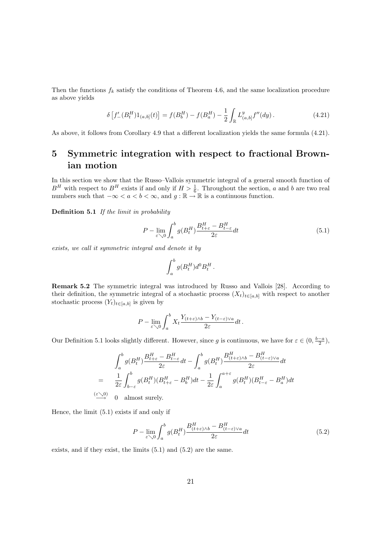Then the functions  $f_k$  satisfy the conditions of Theorem 4.6, and the same localization procedure as above yields

$$
\delta \left[ f'_{-}(B_t^H) 1_{(a,b]}(t) \right] = f(B_b^H) - f(B_a^H) - \frac{1}{2} \int_{\mathbb{R}} L^y_{(a,b]} f''(dy).
$$
\n(4.21)

As above, it follows from Corollary 4.9 that a different localization yields the same formula (4.21).

# 5 Symmetric integration with respect to fractional Brownian motion

In this section we show that the Russo–Vallois symmetric integral of a general smooth function of  $B<sup>H</sup>$  with respect to  $B<sup>H</sup>$  exists if and only if  $H > \frac{1}{6}$ . Throughout the section, a and b are two real numbers such that  $-\infty < a < b < \infty$ , and  $g : \mathbb{R} \to \mathbb{R}$  is a continuous function.

Definition 5.1 If the limit in probability

$$
P - \lim_{\varepsilon \searrow 0} \int_{a}^{b} g(B_{t}^{H}) \frac{B_{t+\varepsilon}^{H} - B_{t-\varepsilon}^{H}}{2\varepsilon} dt
$$
\n(5.1)

exists, we call it symmetric integral and denote it by

$$
\int_a^b g(B^H_t) d^0 B^H_t\,.
$$

Remark 5.2 The symmetric integral was introduced by Russo and Vallois [28]. According to their definition, the symmetric integral of a stochastic process  $(X_t)_{t\in[a,b]}$  with respect to another stochastic process  $(Y_t)_{t\in[a,b]}$  is given by

$$
P - \lim_{\varepsilon \searrow 0} \int_a^b X_t \frac{Y_{(t+\varepsilon)\wedge b} - Y_{(t-\varepsilon)\vee a}}{2\varepsilon} dt.
$$

Our Definition 5.1 looks slightly different. However, since g is continuous, we have for  $\varepsilon \in (0, \frac{b-a}{2})$ ,

$$
\int_{a}^{b} g(B_t^H) \frac{B_{t+\varepsilon}^H - B_{t-\varepsilon}^H}{2\varepsilon} dt - \int_{a}^{b} g(B_t^H) \frac{B_{(t+\varepsilon)\wedge b}^H - B_{(t-\varepsilon)\vee a}^H}{2\varepsilon} dt
$$
\n
$$
= \frac{1}{2\varepsilon} \int_{b-\varepsilon}^{b} g(B_t^H) (B_{t+\varepsilon}^H - B_b^H) dt - \frac{1}{2\varepsilon} \int_{a}^{a+\varepsilon} g(B_t^H) (B_{t-\varepsilon}^H - B_a^H) dt
$$
\n
$$
\stackrel{(\varepsilon \searrow 0)}{\longrightarrow} 0 \quad \text{almost surely.}
$$

Hence, the limit (5.1) exists if and only if

$$
P - \lim_{\varepsilon \searrow 0} \int_{a}^{b} g(B_{t}^{H}) \frac{B_{(t+\varepsilon)\wedge b}^{H} - B_{(t-\varepsilon)\vee a}^{H}}{2\varepsilon} dt
$$
\n(5.2)

exists, and if they exist, the limits (5.1) and (5.2) are the same.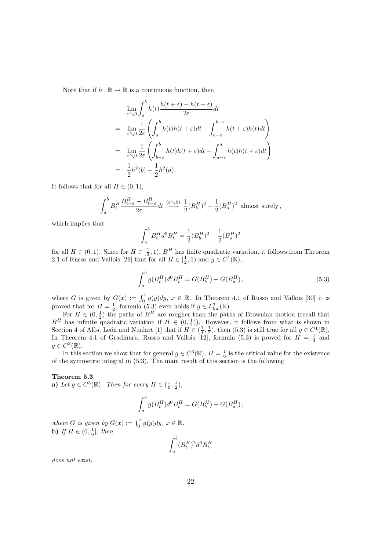Note that if  $h : \mathbb{R} \to \mathbb{R}$  is a continuous function, then

$$
\lim_{\varepsilon \searrow 0} \int_{a}^{b} h(t) \frac{h(t + \varepsilon) - h(t - \varepsilon)}{2\varepsilon} dt
$$
\n
$$
= \lim_{\varepsilon \searrow 0} \frac{1}{2\varepsilon} \left( \int_{a}^{b} h(t)h(t + \varepsilon) dt - \int_{a - \varepsilon}^{b - \varepsilon} h(t + \varepsilon)h(t) dt \right)
$$
\n
$$
= \lim_{\varepsilon \searrow 0} \frac{1}{2\varepsilon} \left( \int_{b - \varepsilon}^{b} h(t)h(t + \varepsilon) dt - \int_{a - \varepsilon}^{a} h(t)h(t + \varepsilon) dt \right)
$$
\n
$$
= \frac{1}{2} h^{2}(b) - \frac{1}{2} h^{2}(a).
$$

It follows that for all  $H \in (0, 1)$ ,

$$
\int_a^b B_t^H \frac{B_{t+\varepsilon}^H - B_{t-\varepsilon}^H}{2\varepsilon} dt \stackrel{(\varepsilon \searrow 0)}{\longrightarrow} \frac{1}{2} (B_b^H)^2 - \frac{1}{2} (B_a^H)^2
$$
 almost surely,

which implies that

$$
\int_a^b B_t^H d^0 B_t^H = \frac{1}{2} (B_b^H)^2 - \frac{1}{2} (B_a^H)^2
$$

for all  $H \in (0,1)$ . Since for  $H \in [\frac{1}{2},1)$ ,  $B<sup>H</sup>$  has finite quadratic variation, it follows from Theorem 2.1 of Russo and Vallois [29] that for all  $H \in [\frac{1}{2}, 1)$  and  $g \in C^1(\mathbb{R})$ ,

$$
\int_{a}^{b} g(B_t^H) d^0 B_t^H = G(B_b^H) - G(B_a^H), \qquad (5.3)
$$

where G is given by  $G(x) := \int_0^x g(y) dy$ ,  $x \in \mathbb{R}$ . In Theorem 4.1 of Russo and Vallois [30] it is proved that for  $H = \frac{1}{2}$ , formula (5.3) even holds if  $g \in L^2_{loc}(\mathbb{R})$ .

For  $H \in (0, \frac{1}{2})$  the paths of  $B<sup>H</sup>$  are rougher than the paths of Brownian motion (recall that  $B<sup>H</sup>$  has infinite quadratic variation if  $H \in (0, \frac{1}{2})$ . However, it follows from what is shown in Section 4 of Alòs, León and Nualart [1] that if  $H \in (\frac{1}{4}, \frac{1}{2})$ , then (5.3) is still true for all  $g \in C^1(\mathbb{R})$ . In Theorem 4.1 of Gradinaru, Russo and Vallois [12], formula (5.3) is proved for  $H = \frac{1}{4}$  and  $g \in C^3(\mathbb{R}).$ 

In this section we show that for general  $g \in C^3(\mathbb{R})$ ,  $H = \frac{1}{6}$  is the critical value for the existence of the symmetric integral in (5.3). The main result of this section is the following

#### Theorem 5.3

**a**) Let  $g \in C^3(\mathbb{R})$ . Then for every  $H \in (\frac{1}{6}, \frac{1}{2})$ ,

$$
\int_a^b g(B_t^H) d^0 B_t^H = G(B_b^H) - G(B_a^H),
$$

where G is given by  $G(x) := \int_0^x g(y) dy$ ,  $x \in \mathbb{R}$ . **b**) If  $H \in (0, \frac{1}{6}],$  then

$$
\int_a^b (B_t^H)^2 d^0 B_t^H
$$

does not exist.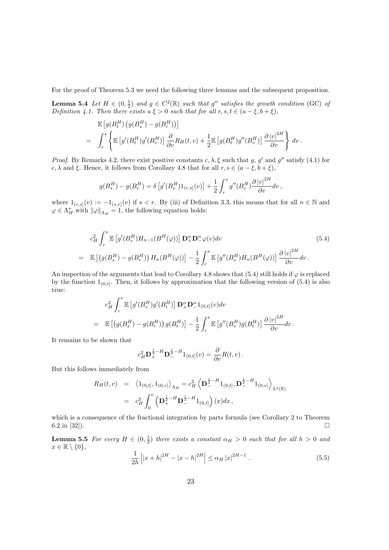For the proof of Theorem 5.3 we need the following three lemmas and the subsequent proposition.

**Lemma 5.4** Let  $H \in (0, \frac{1}{2})$  and  $g \in C^2(\mathbb{R})$  such that g'' satisfies the growth condition (GC) of Definition 4.1. Then there exists  $a \xi > 0$  such that for all  $r, s, t \in (a - \xi, b + \xi)$ ,

$$
\mathbb{E}\left[g(B_t^H)\left(g(B_s^H) - g(B_r^H)\right)\right]
$$
\n
$$
= \int_r^s \left\{\mathbb{E}\left[g'(B_t^H)g'(B_v^H)\right]\frac{\partial}{\partial v}R_H(t,v) + \frac{1}{2}\mathbb{E}\left[g(B_t^H)g''(B_v^H)\right]\frac{\partial\left|v\right|^{2H}}{\partial v}\right\} dv.
$$

*Proof.* By Remarks 4.2, there exist positive constants  $c, \lambda, \xi$  such that g, g' and g'' satisfy (4.1) for c,  $\lambda$  and  $\xi$ . Hence, it follows from Corollary 4.8 that for all  $r, s \in (a - \xi, b + \xi)$ ,

$$
g(B_s^H) - g(B_r^H) = \delta \left[ g'(B_v^H) 1_{(r,s]}(v) \right] + \frac{1}{2} \int_r^s g''(B_v^H) \frac{\partial |v|^{2H}}{\partial v} dv,
$$

where  $1_{(r,s]}(v) := -1_{(s,r]}(v)$  if  $s < r$ . By (iii) of Definition 3.3, this means that for all  $n \in \mathbb{N}$  and  $\varphi \in \Lambda_H^*$  with  $\|\varphi\|_{\Lambda_H} = 1$ , the following equation holds:

$$
c_H^2 \int_r^s \mathbb{E}\left[g'(B_v^H)H_{n-1}(B^H(\varphi))\right] \mathbf{D}_+^\alpha \mathbf{D}_-^\alpha \varphi(v) dv
$$
\n
$$
= \mathbb{E}\left[\left(g(B_s^H) - g(B_r^H)\right)H_n(B^H(\varphi))\right] - \frac{1}{2} \int_r^s \mathbb{E}\left[g''(B_v^H)H_n(B^H(\varphi))\right] \frac{\partial |v|^{2H}}{\partial v} dv.
$$
\n(5.4)

An inspection of the arguments that lead to Corollary 4.8 shows that (5.4) still holds if  $\varphi$  is replaced by the function  $1_{(0,t]}$ . Then, it follows by approximation that the following version of  $(5.4)$  is also true:

$$
c_H^2 \int_r^s \mathbb{E}\left[g'(B_v^H)g'(B_t^H)\right] \mathbf{D}_+^{\alpha} \mathbf{D}_-^{\alpha} 1_{(0,t]}(v) dv
$$
  
= 
$$
\mathbb{E}\left[\left(g(B_s^H) - g(B_r^H)\right)g(B_t^H)\right] - \frac{1}{2} \int_r^s \mathbb{E}\left[g''(B_v^H)g(B_t^H)\right] \frac{\partial |v|^{2H}}{\partial v} dv.
$$

It remains to be shown that

$$
c_H^2 \mathbf{D}_+^{\frac{1}{2}-H} \mathbf{D}_-^{\frac{1}{2}-H} 1_{(0,t]}(v) = \frac{\partial}{\partial v} R(t,v) .
$$

But this follows immediately from

$$
R_H(t, v) = \langle 1_{(0,t]}, 1_{(0,v]} \rangle_{\Lambda_H} = c_H^2 \langle \mathbf{D}_-^{\frac{1}{2}-H} 1_{(0,t]}, \mathbf{D}_-^{\frac{1}{2}-H} 1_{(0,v]} \rangle_{L^2(\mathbb{R})}
$$
  
=  $c_H^2 \int_0^v \left( \mathbf{D}_+^{\frac{1}{2}-H} \mathbf{D}_-^{\frac{1}{2}-H} 1_{(0,t]} \right)(x) dx$ ,

which is a consequence of the fractional integration by parts formula (see Corollary 2 to Theorem 6.2 in [32]).

**Lemma 5.5** For every  $H \in (0, \frac{1}{2})$  there exists a constant  $\alpha_H > 0$  such that for all  $h > 0$  and  $x \in \mathbb{R} \setminus \{0\},\$  $\overline{a}$  $\overline{a}$ 

$$
\frac{1}{2h} \left| |x+h|^{2H} - |x-h|^{2H} \right| \le \alpha_H |x|^{2H-1} . \tag{5.5}
$$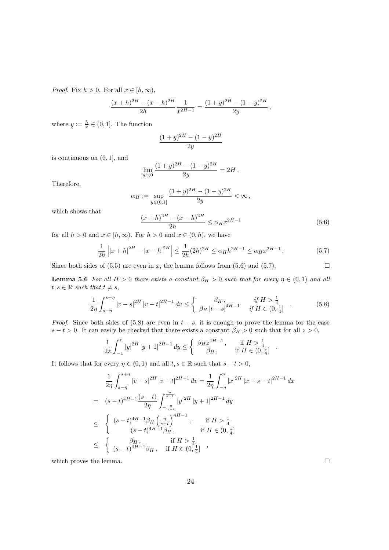*Proof.* Fix  $h > 0$ . For all  $x \in [h, \infty)$ ,

$$
\frac{(x+h)^{2H} - (x-h)^{2H}}{2h} \frac{1}{x^{2H-1}} = \frac{(1+y)^{2H} - (1-y)^{2H}}{2y},
$$

where  $y := \frac{h}{x} \in (0, 1]$ . The function

$$
\frac{(1+y)^{2H} - (1-y)^{2H}}{2y}
$$

is continuous on (0, 1], and

$$
\lim_{y \searrow 0} \frac{(1+y)^{2H} - (1-y)^{2H}}{2y} = 2H.
$$

Therefore,

$$
\alpha_H := \sup_{y \in (0,1]} \frac{(1+y)^{2H} - (1-y)^{2H}}{2y} < \infty
$$

which shows that

$$
\frac{(x+h)^{2H} - (x-h)^{2H}}{2h} \le \alpha_H x^{2H-1}
$$
\n(5.6)

.

for all  $h > 0$  and  $x \in [h, \infty)$ . For  $h > 0$  and  $x \in (0, h)$ , we have

$$
\frac{1}{2h} \left| |x+h|^{2H} - |x-h|^{2H} \right| \le \frac{1}{2h} (2h)^{2H} \le \alpha_H h^{2H-1} \le \alpha_H x^{2H-1} \,. \tag{5.7}
$$

Since both sides of (5.5) are even in x, the lemma follows from (5.6) and (5.7).  $\Box$ 

**Lemma 5.6** For all  $H > 0$  there exists a constant  $\beta_H > 0$  such that for every  $\eta \in (0,1)$  and all  $t, s \in \mathbb{R}$  such that  $t \neq s$ ,

$$
\frac{1}{2\eta} \int_{s-\eta}^{s+\eta} |v-s|^{2H} |v-t|^{2H-1} dv \leq \begin{cases} \beta_H, & \text{if } H > \frac{1}{4} \\ \beta_H |t-s|^{4H-1} & \text{if } H \in (0, \frac{1}{4}] \end{cases} . \tag{5.8}
$$

*Proof.* Since both sides of (5.8) are even in  $t - s$ , it is enough to prove the lemma for the case  $s - t > 0$ . It can easily be checked that there exists a constant  $\beta_H > 0$  such that for all  $z > 0$ ,

$$
\frac{1}{2z} \int_{-z}^{z} |y|^{2H} |y+1|^{2H-1} dy \le \begin{cases} \beta_H z^{4H-1}, & \text{if } H > \frac{1}{4} \\ \beta_H, & \text{if } H \in (0, \frac{1}{4}] \end{cases}
$$

It follows that for every  $\eta \in (0,1)$  and all  $t, s \in \mathbb{R}$  such that  $s - t > 0$ ,

$$
\frac{1}{2\eta} \int_{s-\eta}^{s+\eta} |v-s|^{2H} |v-t|^{2H-1} dv = \frac{1}{2\eta} \int_{-\eta}^{\eta} |x|^{2H} |x+s-t|^{2H-1} dx
$$
  
\n
$$
= (s-t)^{4H-1} \frac{(s-t)}{2\eta} \int_{-\frac{\eta}{s-t}}^{\frac{\eta}{s-t}} |y|^{2H} |y+1|^{2H-1} dy
$$
  
\n
$$
\leq \begin{cases} (s-t)^{4H-1} \beta_H \left(\frac{\eta}{s-t}\right)^{4H-1} , & \text{if } H > \frac{1}{4} \\ (s-t)^{4H-1} \beta_H , & \text{if } H \in (0, \frac{1}{4}] \\ (s-t)^{4H-1} \beta_H , & \text{if } H > \frac{1}{4} \end{cases}
$$

which proves the lemma.  $\Box$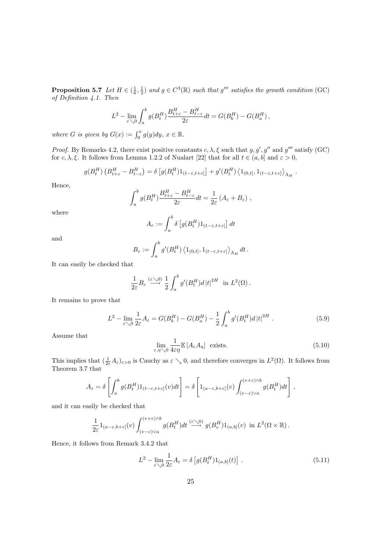**Proposition 5.7** Let  $H \in (\frac{1}{6}, \frac{1}{2})$  and  $g \in C^3(\mathbb{R})$  such that  $g'''$  satisfies the growth condition (GC) of Definition 4.1. Then

$$
L^2 - \lim_{\varepsilon \searrow 0} \int_a^b g(B_t^H) \frac{B_{t+\varepsilon}^H - B_{t-\varepsilon}^H}{2\varepsilon} dt = G(B_b^H) - G(B_a^H),
$$

where G is given by  $G(x) := \int_0^x g(y) dy$ ,  $x \in \mathbb{R}$ .

Proof. By Remarks 4.2, there exist positive constants  $c, \lambda, \xi$  such that  $g, g', g''$  and  $g'''$  satisfy (GC) for  $c, \lambda, \xi$ . It follows from Lemma 1.2.2 of Nualart [22] that for all  $t \in (a, b]$  and  $\varepsilon > 0$ ,

$$
g(B_t^H) \left( B_{t+\varepsilon}^H - B_{t-\varepsilon}^H \right) = \delta \left[ g(B_t^H) 1_{(t-\varepsilon,t+\varepsilon]} \right] + g'(B_t^H) \left\langle 1_{(0,t]}, 1_{(t-\varepsilon,t+\varepsilon]} \right\rangle_{\Lambda_H}.
$$

Hence,

$$
\int_a^b g(B_t^H) \frac{B_{t+\varepsilon}^H - B_{t-\varepsilon}^H}{2\varepsilon} dt = \frac{1}{2\varepsilon} (A_\varepsilon + B_\varepsilon) ,
$$

where

$$
A_\varepsilon:=\int_a^b \delta \left[ g(B^H_t) 1_{(t-\varepsilon,t+\varepsilon]} \right] dt
$$

and

$$
B_{\varepsilon} := \int_a^b g'(B_t^H) \left\langle 1_{(0,t]}, 1_{(t-\varepsilon,t+\varepsilon)} \right\rangle_{\Lambda_H} dt.
$$

It can easily be checked that

$$
\frac{1}{2\varepsilon}B_{\varepsilon} \stackrel{(\varepsilon\searrow 0)}{\longrightarrow} \frac{1}{2}\int_a^b g'(B_t^H)d\left|t\right|^{2H} \text{ in } L^2(\Omega) .
$$

It remains to prove that

$$
L^{2} - \lim_{\varepsilon \searrow 0} \frac{1}{2\varepsilon} A_{\varepsilon} = G(B_{b}^{H}) - G(B_{a}^{H}) - \frac{1}{2} \int_{a}^{b} g'(B_{t}^{H}) d|t|^{2H} . \tag{5.9}
$$

Assume that

$$
\lim_{\varepsilon,\eta\searrow 0} \frac{1}{4\varepsilon\eta} \mathbb{E}\left[A_{\varepsilon}A_{\eta}\right] \text{ exists.}
$$
\n(5.10)

This implies that  $(\frac{1}{2\varepsilon}A_{\varepsilon})_{\varepsilon>0}$  is Cauchy as  $\varepsilon \searrow 0$ , and therefore converges in  $L^2(\Omega)$ . It follows from Theorem 3.7 that

$$
A_{\varepsilon} = \delta \left[ \int_{a}^{b} g(B_{t}^{H}) 1_{(t-\varepsilon,t+\varepsilon]}(v) dt \right] = \delta \left[ 1_{(a-\varepsilon,b+\varepsilon]}(v) \int_{(v-\varepsilon)\vee a}^{(v+\varepsilon)\wedge b} g(B_{t}^{H}) dt \right],
$$

and it can easily be checked that

$$
\frac{1}{2\varepsilon}1_{(a-\varepsilon,b+\varepsilon]}(v)\int_{(v-\varepsilon)\vee a}^{(v+\varepsilon)\wedge b}g(B_t^H)dt \stackrel{(\varepsilon\searrow 0)}{\longrightarrow} g(B_v^H)1_{(a,b]}(v) \text{ in } L^2(\Omega\times\mathbb{R}).
$$

Hence, it follows from Remark 3.4.2 that

$$
L^{2} - \lim_{\varepsilon \searrow 0} \frac{1}{2\varepsilon} A_{\varepsilon} = \delta \left[ g(B_{t}^{H}) 1_{(a,b]}(t) \right].
$$
 (5.11)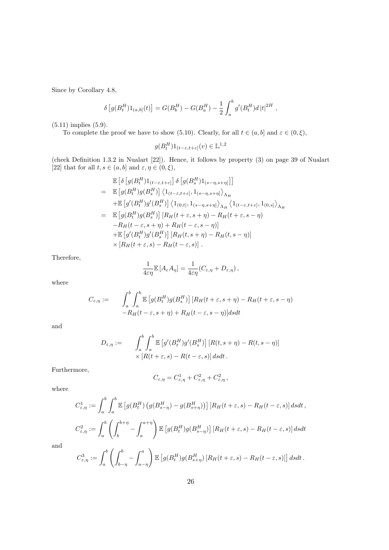Since by Corollary 4.8,

$$
\delta [g(B_t^H)1_{(a,b]}(t)] = G(B_b^H) - G(B_a^H) - \frac{1}{2} \int_a^b g'(B_t^H) d|t|^{2H},
$$

(5.11) implies (5.9).

To complete the proof we have to show (5.10). Clearly, for all  $t \in (a, b]$  and  $\varepsilon \in (0, \xi)$ ,

$$
g(B^H_t)1_{(t-\varepsilon,t+\varepsilon]}(v)\in \mathbb{L}^{1,2}
$$

(check Definition 1.3.2 in Nualart [22]). Hence, it follows by property (3) on page 39 of Nualart [22] that for all  $t, s \in (a, b]$  and  $\varepsilon, \eta \in (0, \xi)$ ,

$$
\mathbb{E}\left[\delta\left[g(B_t^H)\mathbf{1}_{(t-\varepsilon,t+\varepsilon)}\right]\delta\left[g(B_s^H)\mathbf{1}_{(s-\eta,s+\eta)}\right]\right]
$$
\n
$$
= \mathbb{E}\left[g(B_t^H)g(B_s^H)\right]\left\langle\mathbf{1}_{(t-\varepsilon,t+\varepsilon)},\mathbf{1}_{(s-\eta,s+\eta)}\right\rangle_{\Lambda_H}
$$
\n
$$
+ \mathbb{E}\left[g'(B_t^H)g'(B_s^H)\right]\left\langle\mathbf{1}_{(0,t]},\mathbf{1}_{(s-\eta,s+\eta)}\right\rangle_{\Lambda_H}\left\langle\mathbf{1}_{(t-\varepsilon,t+\varepsilon)},\mathbf{1}_{(0,s)}\right\rangle_{\Lambda_H}
$$
\n
$$
= \mathbb{E}\left[g(B_t^H)g(B_s^H)\right]\left[R_H(t+\varepsilon,s+\eta) - R_H(t+\varepsilon,s-\eta)\right]
$$
\n
$$
-R_H(t-\varepsilon,s+\eta) + R_H(t-\varepsilon,s-\eta)\right]
$$
\n
$$
+ \mathbb{E}\left[g'(B_t^H)g'(B_s^H)\right]\left[R_H(t,s+\eta) - R_H(t,s-\eta)\right]
$$
\n
$$
\times \left[R_H(t+\varepsilon,s) - R_H(t-\varepsilon,s)\right].
$$

Therefore,

$$
\frac{1}{4\epsilon\eta}\mathbb{E}\left[A_{\varepsilon}A_{\eta}\right] = \frac{1}{4\epsilon\eta}(C_{\varepsilon,\eta} + D_{\varepsilon,\eta}),
$$

1

where

$$
C_{\varepsilon,\eta} := \int_a^b \int_a^b \mathbb{E}\left[g(B_t^H)g(B_s^H)\right] \left[R_H(t+\varepsilon,s+\eta) - R_H(t+\varepsilon,s-\eta)\right] d\xi dt
$$
  
-
$$
R_H(t-\varepsilon,s+\eta) + R_H(t-\varepsilon,s-\eta) ds dt
$$

and

$$
D_{\varepsilon,\eta} := \int_a^b \int_a^b \mathbb{E}\left[g'(B_t^H)g'(B_s^H)\right] \left[R(t,s+\eta) - R(t,s-\eta)\right] \times \left[R(t+\varepsilon,s) - R(t-\varepsilon,s)\right] ds dt.
$$

Furthermore,

$$
C_{\varepsilon,\eta} = C_{\varepsilon,\eta}^1 + C_{\varepsilon,\eta}^2 + C_{\varepsilon,\eta}^2,
$$

where

$$
C_{\varepsilon,\eta}^{1} := \int_{a}^{b} \int_{a}^{b} \mathbb{E}\left[g(B_{t}^{H})\left(g(B_{s-\eta}^{H}) - g(B_{s+\eta}^{H})\right)\right] \left[R_{H}(t+\varepsilon,s) - R_{H}(t-\varepsilon,s)\right] ds dt,
$$
  

$$
C_{\varepsilon,\eta}^{2} := \int_{a}^{b} \left(\int_{b}^{b+\eta} - \int_{a}^{a+\eta}\right) \mathbb{E}\left[g(B_{t}^{H})g(B_{s-\eta}^{H})\right] \left[R_{H}(t+\varepsilon,s) - R_{H}(t-\varepsilon,s)\right] ds dt
$$

and

$$
C_{\varepsilon,\eta}^3 := \int_a^b \left( \int_{b-\eta}^b - \int_{a-\eta}^a \right) \mathbb{E} \left[ g(B_t^H) g(B_{s+\eta}^H) \left[ R_H(t+\varepsilon, s) - R_H(t-\varepsilon, s) \right] \right] ds dt \, .
$$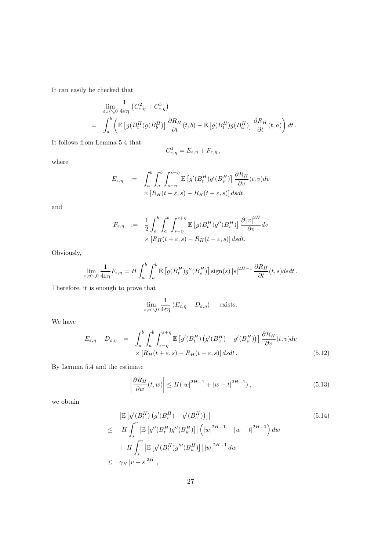It can easily be checked that

$$
\lim_{\varepsilon,\eta\searrow 0} \frac{1}{4\varepsilon\eta} \left( C_{\varepsilon,\eta}^2 + C_{\varepsilon,\eta}^3 \right) \n= \int_a^b \left( \mathbb{E} \left[ g(B_t^H) g(B_b^H) \right] \frac{\partial R_H}{\partial t}(t,b) - \mathbb{E} \left[ g(B_t^H) g(B_a^H) \right] \frac{\partial R_H}{\partial t}(t,a) \right) dt.
$$

It follows from Lemma 5.4 that

$$
-C_{\varepsilon,\eta}^1=E_{\varepsilon,\eta}+F_{\varepsilon,\eta}\,,
$$

where

$$
E_{\varepsilon,\eta} := \int_a^b \int_a^b \int_{s-\eta}^{s+\eta} \mathbb{E}\left[g'(B_t^H)g'(B_v^H)\right] \frac{\partial R_H}{\partial v}(t,v)dv
$$
  
 
$$
\times \left[R_H(t+\varepsilon,s) - R_H(t-\varepsilon,s)\right] ds dt.
$$

and

$$
F_{\varepsilon,\eta} \quad := \quad \frac{1}{2} \int_a^b \int_a^b \int_{s-\eta}^{s+\eta} \mathbb{E} \left[ g(B_t^H) g''(B_v^H) \right] \frac{\partial |v|^{2H}}{\partial v} dv \\
\times \left[ R_H(t+\varepsilon,s) - R_H(t-\varepsilon,s) \right] ds dt.
$$

Obviously,

$$
\lim_{\varepsilon,\eta\searrow 0}\frac{1}{4\varepsilon\eta}F_{\varepsilon,\eta}=H\int_a^b\int_a^b\mathbb{E}\left[g(B^H_t)g^{\prime\prime}(B^H_s)\right]\text{sign}(s)\left|s\right|^{2H-1}\frac{\partial R_H}{\partial t}(t,s)dsdt\,.
$$

Therefore, it is enough to prove that

$$
\lim_{\varepsilon,\eta\searrow 0}\frac{1}{4\varepsilon\eta}\left(E_{\varepsilon,\eta}-D_{\varepsilon,\eta}\right)\quad\text{ exists.}
$$

We have

$$
E_{\varepsilon,\eta} - D_{\varepsilon,\eta} = \int_{a}^{b} \int_{a}^{b} \int_{s-\eta}^{s+\eta} \mathbb{E}\left[g'(B_{t}^{H})\left(g'(B_{v}^{H}) - g'(B_{s}^{H})\right)\right] \frac{\partial R_{H}}{\partial v}(t,v) dv
$$
  
 
$$
\times \left[R_{H}(t+\varepsilon,s) - R_{H}(t-\varepsilon,s)\right] ds dt.
$$
 (5.12)

By Lemma 5.4 and the estimate

$$
\left| \frac{\partial R_H}{\partial w}(t, w) \right| \le H(|w|^{2H-1} + |w - t|^{2H-1}), \tag{5.13}
$$

we obtain

$$
\begin{aligned}\n&\left|\mathbb{E}\left[g'(B_t^H)\left(g'(B_v^H) - g'(B_s^H)\right)\right]\right| \\
&\leq H \int_s^v \left|\mathbb{E}\left[g''(B_t^H)g''(B_w^H)\right]\right| \left(|w|^{2H-1} + |w - t|^{2H-1}\right) dw \\
&\quad + H \int_s^v \left|\mathbb{E}\left[g'(B_t^H)g'''(B_w^H)\right]\right| |w|^{2H-1} dw \\
&\leq \gamma_H |v - s|^{2H},\n\end{aligned}\n\tag{5.14}
$$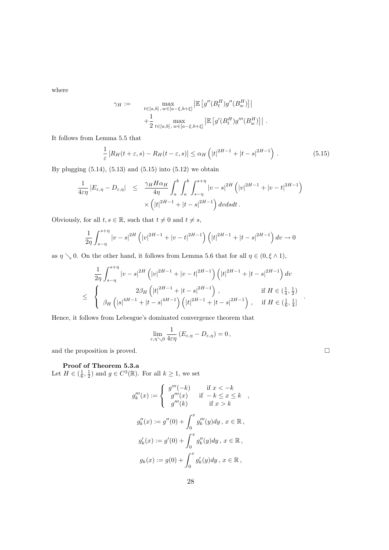where

$$
\gamma_H := \max_{\substack{t \in [a,b], \, w \in [a-\xi,b+\xi]}} \left| \mathbb{E} \left[ g''(B_t^H) g''(B_w^H) \right] \right|
$$

$$
+ \frac{1}{2} \max_{t \in [a,b], \, w \in [a-\xi,b+\xi]} \left| \mathbb{E} \left[ g'(B_t^H) g'''(B_w^H) \right] \right|
$$

It follows from Lemma 5.5 that

$$
\frac{1}{\varepsilon} \left[ R_H(t+\varepsilon, s) - R_H(t-\varepsilon, s) \right] \le \alpha_H \left( |t|^{2H-1} + |t-s|^{2H-1} \right). \tag{5.15}
$$

.

By plugging (5.14), (5.13) and (5.15) into (5.12) we obtain

$$
\frac{1}{4\varepsilon\eta}|E_{\varepsilon,\eta}-D_{\varepsilon,\eta}| \leq \frac{\gamma_H H \alpha_H}{4\eta} \int_a^b \int_a^b \int_{s-\eta}^{s+\eta} |v-s|^{2H} (|v|^{2H-1} + |v-t|^{2H-1}) \times (|t|^{2H-1} + |t-s|^{2H-1}) dv ds dt.
$$

Obviously, for all  $t, s \in \mathbb{R}$ , such that  $t \neq 0$  and  $t \neq s$ ,

$$
\frac{1}{2\eta} \int_{s-\eta}^{s+\eta} |v-s|^{2H} \left( |v|^{2H-1} + |v-t|^{2H-1} \right) \left( |t|^{2H-1} + |t-s|^{2H-1} \right) dv \to 0
$$

as  $\eta \searrow 0$ . On the other hand, it follows from Lemma 5.6 that for all  $\eta \in (0, \xi \wedge 1)$ ,

$$
\frac{1}{2\eta} \int_{s-\eta}^{s+\eta} |v-s|^{2H} \left( |v|^{2H-1} + |v-t|^{2H-1} \right) \left( |t|^{2H-1} + |t-s|^{2H-1} \right) dv
$$
\n
$$
\leq \begin{cases} 2\beta_H \left( |t|^{2H-1} + |t-s|^{2H-1} \right), & \text{if } H \in \left(\frac{1}{4}, \frac{1}{2}\right) \\ \beta_H \left( |s|^{4H-1} + |t-s|^{4H-1} \right) \left( |t|^{2H-1} + |t-s|^{2H-1} \right), & \text{if } H \in \left(\frac{1}{6}, \frac{1}{4}\right] \end{cases}
$$

Hence, it follows from Lebesgue's dominated convergence theorem that

$$
\lim_{\varepsilon,\eta\searrow 0}\frac{1}{4\varepsilon\eta}\left(E_{\varepsilon,\eta}-D_{\varepsilon,\eta}\right)=0\,,
$$

and the proposition is proved.  $\Box$ 

# Proof of Theorem 5.3.a

Let  $H \in \left(\frac{1}{6}, \frac{1}{2}\right)$  and  $g \in C^3(\mathbb{R})$ . For all  $k \geq 1$ , we set

$$
g_k'''(x) := \begin{cases} g'''(-k) & \text{if } x < -k \\ g'''(x) & \text{if } -k \le x \le k \\ g'''(k) & \text{if } x > k \end{cases},
$$
  

$$
g_k''(x) := g''(0) + \int_0^x g_k'''(y) dy, x \in \mathbb{R},
$$
  

$$
g_k'(x) := g'(0) + \int_0^x g_k''(y) dy, x \in \mathbb{R},
$$
  

$$
g_k(x) := g(0) + \int_0^x g_k'(y) dy, x \in \mathbb{R},
$$

.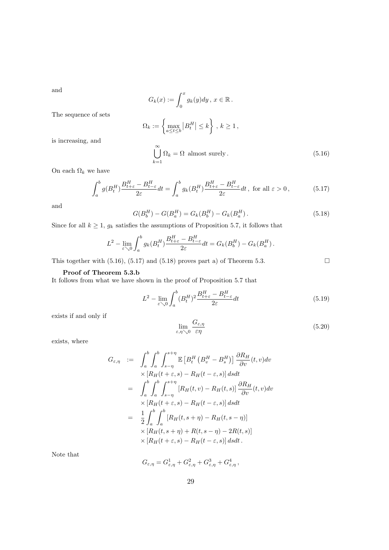and

$$
G_k(x) := \int_0^x g_k(y) dy, \ x \in \mathbb{R}.
$$
  

$$
\Omega_k := \left\{ \max_{a \le t \le b} |B_t^H| \le k \right\}, \ k \ge 1,
$$
  

$$
\bigcup_{k=1}^{\infty} \Omega_k = \Omega \text{ almost surely.}
$$
 (5.16)

is increasing, and

The sequence of sets

$$
\bigcup_{k=1}^{\infty} \Omega_k = \Omega \text{ almost surely.}
$$
\n(5.16)

On each  $\Omega_k$  we have

$$
\int_{a}^{b} g(B_{t}^{H}) \frac{B_{t+\varepsilon}^{H} - B_{t-\varepsilon}^{H}}{2\varepsilon} dt = \int_{a}^{b} g_{k}(B_{t}^{H}) \frac{B_{t+\varepsilon}^{H} - B_{t-\varepsilon}^{H}}{2\varepsilon} dt, \text{ for all } \varepsilon > 0,
$$
\n(5.17)

and

$$
G(B_b^H) - G(B_a^H) = G_k(B_b^H) - G_k(B_a^H). \tag{5.18}
$$

Since for all  $k \geq 1$ ,  $g_k$  satisfies the assumptions of Proposition 5.7, it follows that

$$
L^2 - \lim_{\varepsilon \searrow 0} \int_a^b g_k(B_t^H) \frac{B_{t+\varepsilon}^H - B_{t-\varepsilon}^H}{2\varepsilon} dt = G_k(B_b^H) - G_k(B_a^H).
$$

This together with  $(5.16)$ ,  $(5.17)$  and  $(5.18)$  proves part a) of Theorem 5.3.

### Proof of Theorem 5.3.b

It follows from what we have shown in the proof of Proposition 5.7 that

$$
L^2 - \lim_{\varepsilon \searrow 0} \int_a^b (B_t^H)^2 \frac{B_{t+\varepsilon}^H - B_{t-\varepsilon}^H}{2\varepsilon} dt
$$
\n(5.19)

exists if and only if

$$
\lim_{\varepsilon,\eta\searrow 0} \frac{G_{\varepsilon,\eta}}{\varepsilon\eta} \tag{5.20}
$$

exists, where

$$
G_{\varepsilon,\eta} := \int_{a}^{b} \int_{s-\eta}^{b} \mathbb{E} \left[ B_{t}^{H} \left( B_{v}^{H} - B_{s}^{H} \right) \right] \frac{\partial R_{H}}{\partial v}(t,v) dv
$$
  
\n
$$
\times \left[ R_{H}(t+\varepsilon,s) - R_{H}(t-\varepsilon,s) \right] ds dt
$$
  
\n
$$
= \int_{a}^{b} \int_{a}^{b} \int_{s-\eta}^{s+\eta} \left[ R_{H}(t,v) - R_{H}(t,s) \right] \frac{\partial R_{H}}{\partial v}(t,v) dv
$$
  
\n
$$
\times \left[ R_{H}(t+\varepsilon,s) - R_{H}(t-\varepsilon,s) \right] ds dt
$$
  
\n
$$
= \frac{1}{2} \int_{a}^{b} \int_{a}^{b} \left[ R_{H}(t,s+\eta) - R_{H}(t,s-\eta) \right]
$$
  
\n
$$
\times \left[ R_{H}(t,s+\eta) + R(t,s-\eta) - 2R(t,s) \right]
$$
  
\n
$$
\times \left[ R_{H}(t+\varepsilon,s) - R_{H}(t-\varepsilon,s) \right] ds dt.
$$

Note that

$$
G_{\varepsilon,\eta} = G_{\varepsilon,\eta}^1 + G_{\varepsilon,\eta}^2 + G_{\varepsilon,\eta}^3 + G_{\varepsilon,\eta}^4,
$$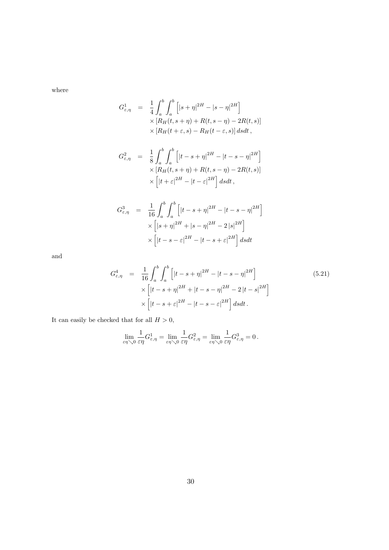where

$$
G_{\varepsilon,\eta}^1 = \frac{1}{4} \int_a^b \int_a^b \left[ |s+\eta|^{2H} - |s-\eta|^{2H} \right] \times \left[ R_H(t,s+\eta) + R(t,s-\eta) - 2R(t,s) \right] \times \left[ R_H(t+\varepsilon,s) - R_H(t-\varepsilon,s) \right] ds dt,
$$

$$
G_{\varepsilon,\eta}^{2} = \frac{1}{8} \int_{a}^{b} \int_{a}^{b} \left[ |t - s + \eta|^{2H} - |t - s - \eta|^{2H} \right] \times \left[ R_{H}(t, s + \eta) + R(t, s - \eta) - 2R(t, s) \right] \times \left[ |t + \varepsilon|^{2H} - |t - \varepsilon|^{2H} \right] ds dt,
$$

$$
G_{\varepsilon,\eta}^{3} = \frac{1}{16} \int_{a}^{b} \int_{a}^{b} \left[ |t - s + \eta|^{2H} - |t - s - \eta|^{2H} \right] \times \left[ |s + \eta|^{2H} + |s - \eta|^{2H} - 2|s|^{2H} \right] \times \left[ |t - s - \varepsilon|^{2H} - |t - s + \varepsilon|^{2H} \right] ds dt
$$

and

$$
G_{\varepsilon,\eta}^{4} = \frac{1}{16} \int_{a}^{b} \int_{a}^{b} \left[ |t - s + \eta|^{2H} - |t - s - \eta|^{2H} \right] \times \left[ |t - s + \eta|^{2H} + |t - s - \eta|^{2H} - 2|t - s|^{2H} \right] \times \left[ |t - s + \varepsilon|^{2H} - |t - s - \varepsilon|^{2H} \right] ds dt.
$$
\n(5.21)

It can easily be checked that for all  $H > 0$ ,

$$
\lim_{\varepsilon\eta\searrow 0}\frac{1}{\varepsilon\eta}G_{\varepsilon,\eta}^1=\lim_{\varepsilon\eta\searrow 0}\frac{1}{\varepsilon\eta}G_{\varepsilon,\eta}^2=\lim_{\varepsilon\eta\searrow 0}\frac{1}{\varepsilon\eta}G_{\varepsilon,\eta}^3=0\,.
$$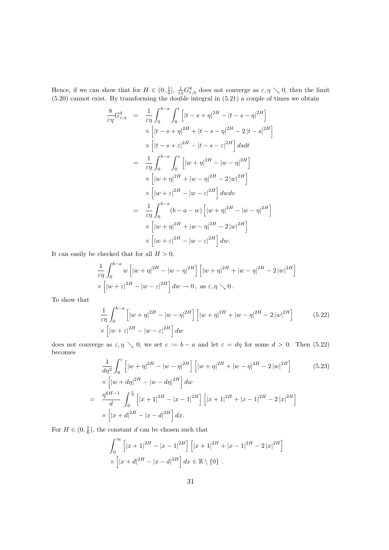Hence, if we can show that for  $H \in (0, \frac{1}{6}], \frac{1}{\varepsilon \eta} G_{\varepsilon, \eta}^4$  does not converge as  $\varepsilon, \eta \searrow 0$ , then the limit (5.20) cannot exist. By transforming the double integral in (5.21) a couple of times we obtain

$$
\frac{8}{\epsilon \eta} G_{\epsilon, \eta}^{4} = \frac{1}{\epsilon \eta} \int_{0}^{b-a} \int_{0}^{t} \left[ |t - s + \eta|^{2H} - |t - s - \eta|^{2H} \right] \times \left[ |t - s + \eta|^{2H} + |t - s - \eta|^{2H} - 2|t - s|^{2H} \right] \times \left[ |t - s + \epsilon|^{2H} - |t - s - \epsilon|^{2H} \right] ds dt
$$
  
\n
$$
= \frac{1}{\epsilon \eta} \int_{0}^{b-a} \int_{0}^{v} \left[ |w + \eta|^{2H} - |w - \eta|^{2H} \right] \times \left[ |w + \eta|^{2H} + |w - \eta|^{2H} - 2|w|^{2H} \right] \times \left[ |w + \epsilon|^{2H} - |w - \epsilon|^{2H} \right] dw dv
$$
  
\n
$$
= \frac{1}{\epsilon \eta} \int_{0}^{b-a} (b-a-w) \left[ |w + \eta|^{2H} - |w - \eta|^{2H} \right] \times \left[ |w + \eta|^{2H} + |w - \eta|^{2H} - 2|w|^{2H} \right] \times \left[ |w + \epsilon|^{2H} - |w - \epsilon|^{2H} \right] dw.
$$

It can easily be checked that for all  $H > 0$ ,

$$
\frac{1}{\varepsilon\eta} \int_0^{b-a} w \left[ \left| w + \eta \right|^{2H} - \left| w - \eta \right|^{2H} \right] \left[ \left| w + \eta \right|^{2H} + \left| w - \eta \right|^{2H} - 2 \left| w \right|^{2H} \right] \times \left[ \left| w + \varepsilon \right|^{2H} - \left| w - \varepsilon \right|^{2H} \right] dw \to 0, \text{ as } \varepsilon, \eta \searrow 0.
$$

To show that

$$
\frac{1}{\varepsilon\eta} \int_0^{b-a} \left[ \left| w + \eta \right|^{2H} - \left| w - \eta \right|^{2H} \right] \left[ \left| w + \eta \right|^{2H} + \left| w - \eta \right|^{2H} - 2 \left| w \right|^{2H} \right] \tag{5.22}
$$
\n
$$
\times \left[ \left| w + \varepsilon \right|^{2H} - \left| w - \varepsilon \right|^{2H} \right] dw
$$

does not converge as  $\varepsilon, \eta \searrow 0$ , we set  $c := b - a$  and let  $\varepsilon = d\eta$  for some  $d > 0$ . Then (5.22) becomes

$$
\frac{1}{d\eta^2} \int_0^c \left[ |w + \eta|^{2H} - |w - \eta|^{2H} \right] \left[ |w + \eta|^{2H} + |w - \eta|^{2H} - 2|w|^{2H} \right] \tag{5.23}
$$
\n
$$
\times \left[ |w + d\eta|^{2H} - |w - d\eta|^{2H} \right] dw
$$
\n
$$
= \frac{\eta^{6H-1}}{d} \int_0^{\frac{c}{\eta}} \left[ |x + 1|^{2H} - |x - 1|^{2H} \right] \left[ |x + 1|^{2H} + |x - 1|^{2H} - 2|x|^{2H} \right]
$$
\n
$$
\times \left[ |x + d|^{2H} - |x - d|^{2H} \right] dx.
$$

For  $H \in (0, \frac{1}{6})$ , the constant d can be chosen such that

$$
\int_0^{\infty} \left[ |x+1|^{2H} - |x-1|^{2H} \right] \left[ |x+1|^{2H} + |x-1|^{2H} - 2|x|^{2H} \right] \times \left[ |x+d|^{2H} - |x-d|^{2H} \right] dx \in \mathbb{R} \setminus \{0\}.
$$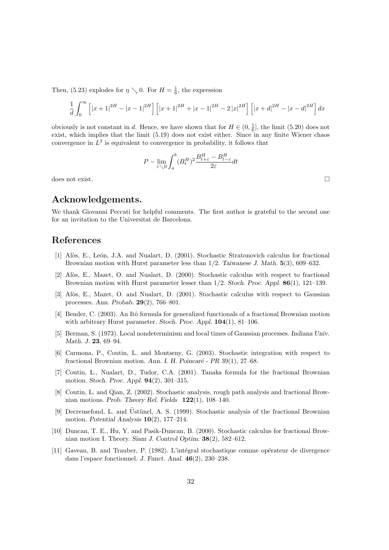Then, (5.23) explodes for  $\eta \searrow 0$ . For  $H = \frac{1}{6}$ , the expression

$$
\frac{1}{d}\int_0^\infty \left[ |x+1|^{2H} - |x-1|^{2H} \right] \left[ |x+1|^{2H} + |x-1|^{2H} - 2|x|^{2H} \right] \left[ |x+d|^{2H} - |x-d|^{2H} \right] dx
$$

obviously is not constant in d. Hence, we have shown that for  $H \in (0, \frac{1}{6}]$ , the limit (5.20) does not exist, which implies that the limit (5.19) does not exist either. Since in any finite Wiener chaos convergence in  $L^2$  is equivalent to convergence in probability, it follows that

$$
P-\lim_{\varepsilon\searrow 0}\int_a^b (B^H_t)^2\frac{B^H_{t+\varepsilon}-B^H_{t-\varepsilon}}{2\varepsilon}dt
$$

 $\Box$  does not exist.  $\Box$ 

# Acknowledgements.

We thank Giovanni Peccati for helpful comments. The first author is grateful to the second one for an invitation to the Universitat de Barcelona.

# References

- [1] Alòs, E., León, J.A. and Nualart, D. (2001). Stochastic Stratonovich calculus for fractional Brownian motion with Hurst parameter less than 1/2. Taiwanese J. Math. 5(3), 609–632.
- [2] Alòs, E., Mazet, O. and Nualart, D. (2000). Stochastic calculus with respect to fractional Brownian motion with Hurst parameter lesser than 1/2. Stoch. Proc. Appl. 86(1), 121–139.
- [3] Alòs, E., Mazet, O. and Nualart, D. (2001). Stochastic calculus with respect to Gaussian processes. Ann. Probab. 29(2), 766–801.
- [4] Bender, C. (2003). An Itô formula for generalized functionals of a fractional Brownian motion with arbitrary Hurst parameter. Stoch. Proc. Appl.  $104(1)$ , 81–106.
- [5] Berman, S. (1973). Local nondeterminism and local times of Gaussian processes. Indiana Univ. Math. J. 23, 69–94.
- [6] Carmona, P., Coutin, L. and Montseny, G. (2003). Stochastic integration with respect to fractional Brownian motion. Ann. I. H. Poincaré - PR  $39(1)$ , 27–68.
- [7] Coutin, L., Nualart, D., Tudor, C.A. (2001). Tanaka formula for the fractional Brownian motion. Stoch. Proc. Appl. 94(2), 301–315.
- [8] Coutin, L. and Qian, Z. (2002). Stochastic analysis, rough path analysis and fractional Brownian motions. Prob. Theory Rel. Fields 122(1), 108–140.
- [9] Decreusefond, L. and Üstünel, A. S. (1999). Stochastic analysis of the fractional Brownian motion. Potential Analysis 10(2), 177–214.
- [10] Duncan, T. E., Hu, Y. and Pasik-Duncan, B. (2000). Stochastic calculus for fractional Brownian motion I. Theory. Siam J. Control Optim. 38(2), 582–612.
- [11] Gaveau, B. and Trauber, P. (1982). L'intégral stochastique comme opérateur de divergence dans l'espace fonctionnel. J. Funct. Anal. 46(2), 230–238.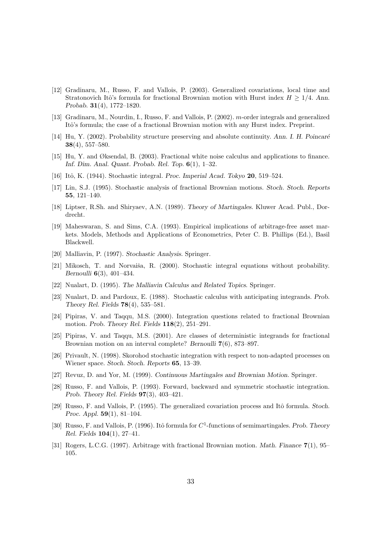- [12] Gradinaru, M., Russo, F. and Vallois, P. (2003). Generalized covariations, local time and Stratonovich Itô's formula for fractional Brownian motion with Hurst index  $H \geq 1/4$ . Ann. Probab. 31(4), 1772–1820.
- [13] Gradinaru, M., Nourdin, I., Russo, F. and Vallois, P. (2002). m-order integrals and generalized Itô's formula; the case of a fractional Brownian motion with any Hurst index. Preprint.
- [14] Hu, Y. (2002). Probability structure preserving and absolute continuity. Ann. I. H. Poincaré  $38(4), 557-580.$
- [15] Hu, Y. and Øksendal, B. (2003). Fractional white noise calculus and applications to finance. Inf. Dim. Anal. Quant. Probab. Rel. Top. 6(1), 1–32.
- [16] Itô, K. (1944). Stochastic integral. *Proc. Imperial Acad. Tokyo* **20**, 519–524.
- [17] Lin, S.J. (1995). Stochastic analysis of fractional Brownian motions. Stoch. Stoch. Reports 55, 121–140.
- [18] Liptser, R.Sh. and Shiryaev, A.N. (1989). Theory of Martingales. Kluwer Acad. Publ., Dordrecht.
- [19] Maheswaran, S. and Sims, C.A. (1993). Empirical implications of arbitrage-free asset markets. Models, Methods and Applications of Econometrics, Peter C. B. Phillips (Ed.), Basil Blackwell.
- [20] Malliavin, P. (1997). Stochastic Analysis. Springer.
- [21] Mikosch, T. and Norvaiša, R. (2000). Stochastic integral equations without probability. Bernoulli 6(3), 401–434.
- [22] Nualart, D. (1995). The Malliavin Calculus and Related Topics. Springer.
- [23] Nualart, D. and Pardoux, E. (1988). Stochastic calculus with anticipating integrands. Prob. Theory Rel. Fields 78(4), 535–581.
- [24] Pipiras, V. and Taqqu, M.S. (2000). Integration questions related to fractional Brownian motion. Prob. Theory Rel. Fields 118(2), 251–291.
- [25] Pipiras, V. and Taqqu, M.S. (2001). Are classes of deterministic integrands for fractional Brownian motion on an interval complete? Bernoulli 7(6), 873-897.
- [26] Privault, N. (1998). Skorohod stochastic integration with respect to non-adapted processes on Wiener space. Stoch. Stoch. Reports 65, 13–39.
- [27] Revuz, D. and Yor, M. (1999). Continuous Martingales and Brownian Motion. Springer.
- [28] Russo, F. and Vallois, P. (1993). Forward, backward and symmetric stochastic integration. Prob. Theory Rel. Fields 97(3), 403–421.
- [29] Russo, F. and Vallois, P. (1995). The generalized covariation process and Itô formula. Stoch. Proc. Appl. 59(1), 81–104.
- [30] Russo, F. and Vallois, P. (1996). Itô formula for  $C<sup>1</sup>$ -functions of semimartingales. Prob. Theory Rel. Fields 104(1), 27–41.
- [31] Rogers, L.C.G. (1997). Arbitrage with fractional Brownian motion. Math. Finance 7(1), 95– 105.